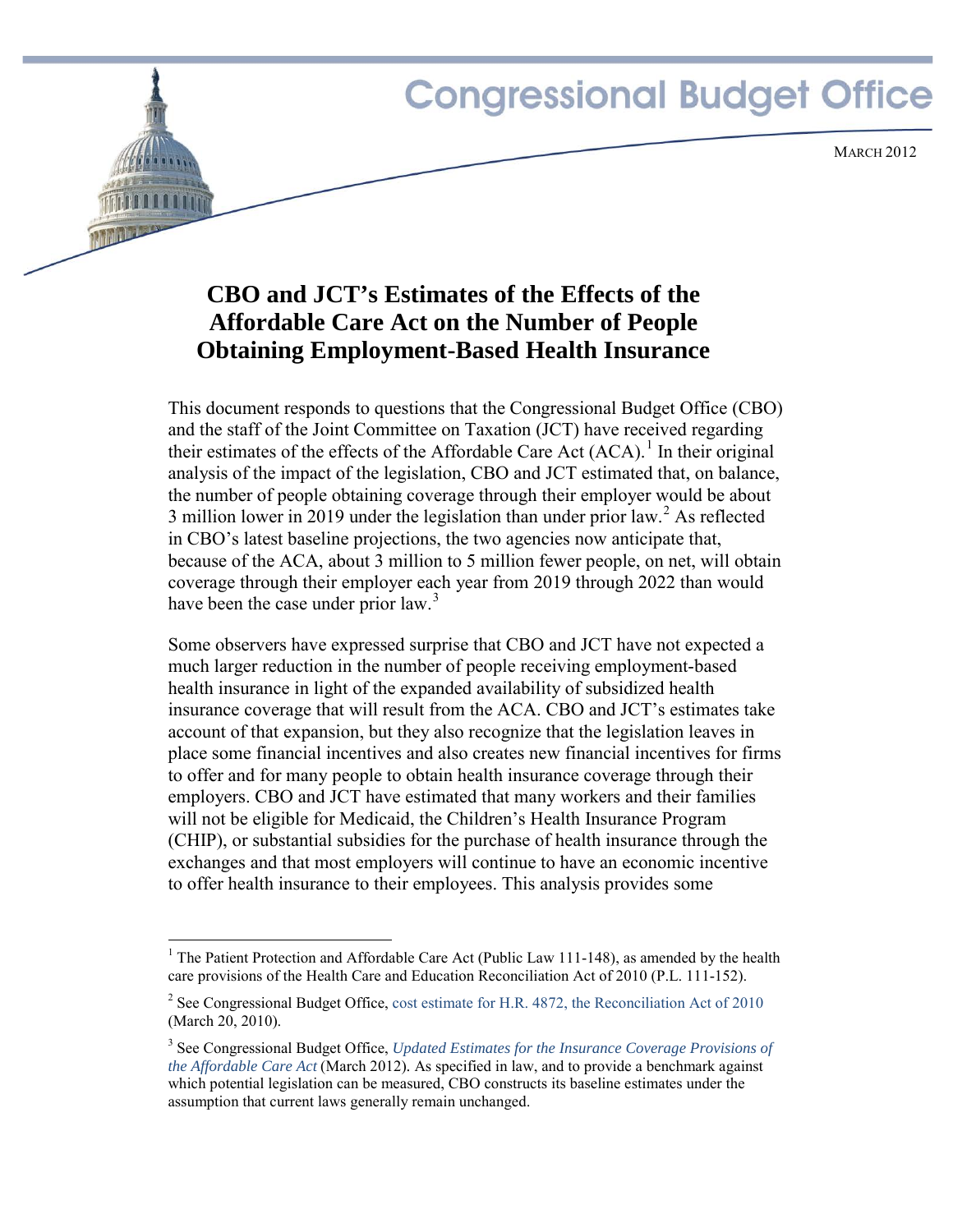

# **CBO and JCT's Estimates of the Effects of the Affordable Care Act on the Number of People Obtaining Employment-Based Health Insurance**

This document responds to questions that the Congressional Budget Office (CBO) and the staff of the Joint Committee on Taxation (JCT) have received regarding their estimates of the effects of the Affordable Care Act  $(ACA)$ .<sup>[1](#page-0-0)</sup> In their original analysis of the impact of the legislation, CBO and JCT estimated that, on balance, the number of people obtaining coverage through their employer would be about 3 million lower in [2](#page-0-1)019 under the legislation than under prior law.<sup>2</sup> As reflected in CBO's latest baseline projections, the two agencies now anticipate that, because of the ACA, about 3 million to 5 million fewer people, on net, will obtain coverage through their employer each year from 2019 through 2022 than would have been the case under prior law.<sup>[3](#page-0-2)</sup>

Some observers have expressed surprise that CBO and JCT have not expected a much larger reduction in the number of people receiving employment-based health insurance in light of the expanded availability of subsidized health insurance coverage that will result from the ACA. CBO and JCT's estimates take account of that expansion, but they also recognize that the legislation leaves in place some financial incentives and also creates new financial incentives for firms to offer and for many people to obtain health insurance coverage through their employers. CBO and JCT have estimated that many workers and their families will not be eligible for Medicaid, the Children's Health Insurance Program (CHIP), or substantial subsidies for the purchase of health insurance through the exchanges and that most employers will continue to have an economic incentive to offer health insurance to their employees. This analysis provides some

<span id="page-0-0"></span><sup>&</sup>lt;sup>1</sup> The Patient Protection and Affordable Care Act (Public Law 111-148), as amended by the health care provisions of the Health Care and Education Reconciliation Act of 2010 (P.L. 111-152).

<span id="page-0-1"></span><sup>&</sup>lt;sup>2</sup> See Congressional Budget Office, [cost estimate for H.R. 4872, the Reconciliation](http://www.cbo.gov/publication/21351) Act of 2010 (March 20, 2010).

<span id="page-0-2"></span><sup>3</sup> See Congressional Budget Office, *[Updated Estimates for the Insurance Coverage Provisions of](http://www.cbo.gov/publication/43076)  [the Affordable Care Act](http://www.cbo.gov/publication/43076)* (March 2012)*.* As specified in law, and to provide a benchmark against which potential legislation can be measured, CBO constructs its baseline estimates under the assumption that current laws generally remain unchanged.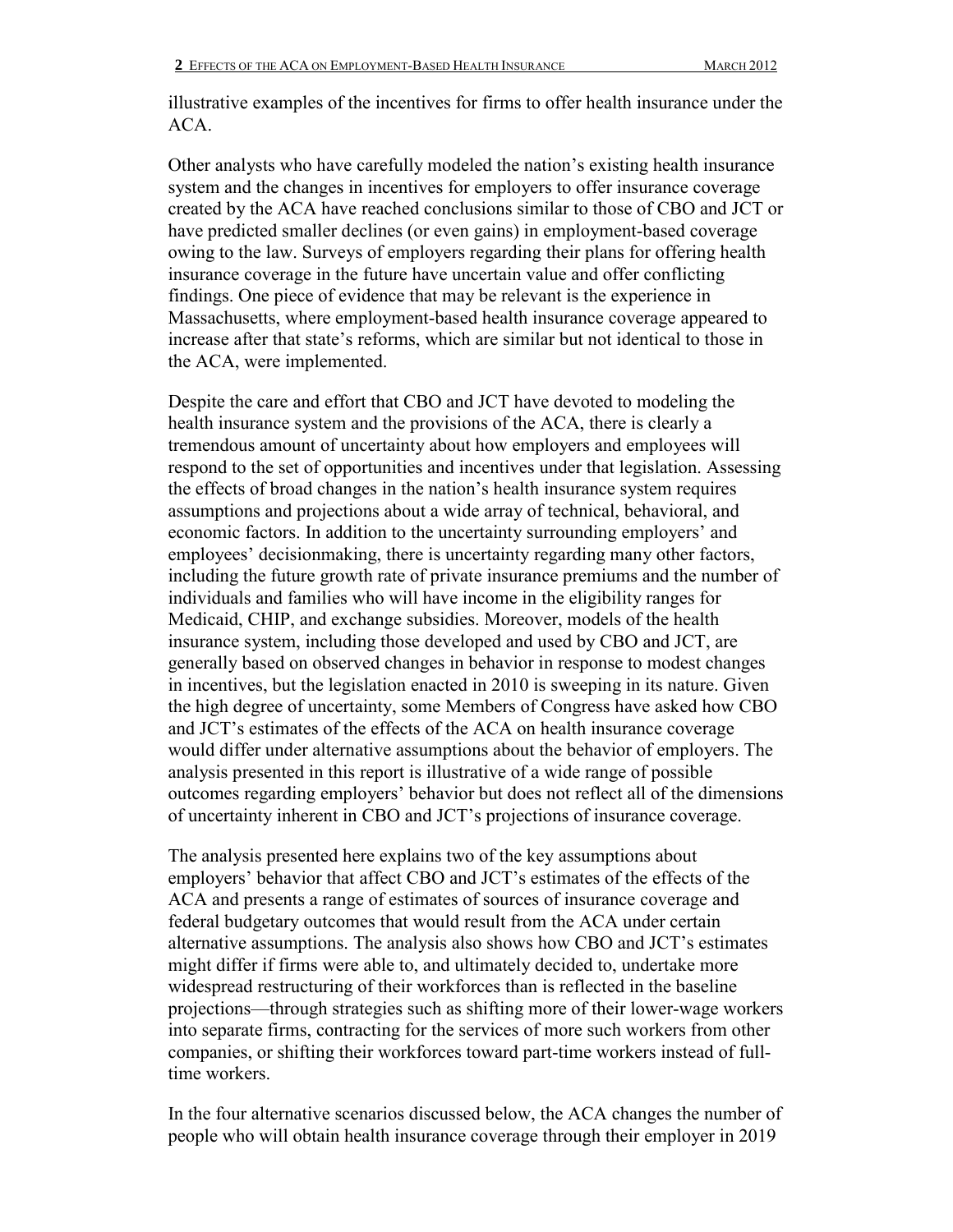illustrative examples of the incentives for firms to offer health insurance under the ACA.

Other analysts who have carefully modeled the nation's existing health insurance system and the changes in incentives for employers to offer insurance coverage created by the ACA have reached conclusions similar to those of CBO and JCT or have predicted smaller declines (or even gains) in employment-based coverage owing to the law. Surveys of employers regarding their plans for offering health insurance coverage in the future have uncertain value and offer conflicting findings. One piece of evidence that may be relevant is the experience in Massachusetts, where employment-based health insurance coverage appeared to increase after that state's reforms, which are similar but not identical to those in the ACA, were implemented.

Despite the care and effort that CBO and JCT have devoted to modeling the health insurance system and the provisions of the ACA, there is clearly a tremendous amount of uncertainty about how employers and employees will respond to the set of opportunities and incentives under that legislation. Assessing the effects of broad changes in the nation's health insurance system requires assumptions and projections about a wide array of technical, behavioral, and economic factors. In addition to the uncertainty surrounding employers' and employees' decisionmaking, there is uncertainty regarding many other factors, including the future growth rate of private insurance premiums and the number of individuals and families who will have income in the eligibility ranges for Medicaid, CHIP, and exchange subsidies. Moreover, models of the health insurance system, including those developed and used by CBO and JCT, are generally based on observed changes in behavior in response to modest changes in incentives, but the legislation enacted in 2010 is sweeping in its nature. Given the high degree of uncertainty, some Members of Congress have asked how CBO and JCT's estimates of the effects of the ACA on health insurance coverage would differ under alternative assumptions about the behavior of employers. The analysis presented in this report is illustrative of a wide range of possible outcomes regarding employers' behavior but does not reflect all of the dimensions of uncertainty inherent in CBO and JCT's projections of insurance coverage.

The analysis presented here explains two of the key assumptions about employers' behavior that affect CBO and JCT's estimates of the effects of the ACA and presents a range of estimates of sources of insurance coverage and federal budgetary outcomes that would result from the ACA under certain alternative assumptions. The analysis also shows how CBO and JCT's estimates might differ if firms were able to, and ultimately decided to, undertake more widespread restructuring of their workforces than is reflected in the baseline projections—through strategies such as shifting more of their lower-wage workers into separate firms, contracting for the services of more such workers from other companies, or shifting their workforces toward part-time workers instead of fulltime workers.

In the four alternative scenarios discussed below, the ACA changes the number of people who will obtain health insurance coverage through their employer in 2019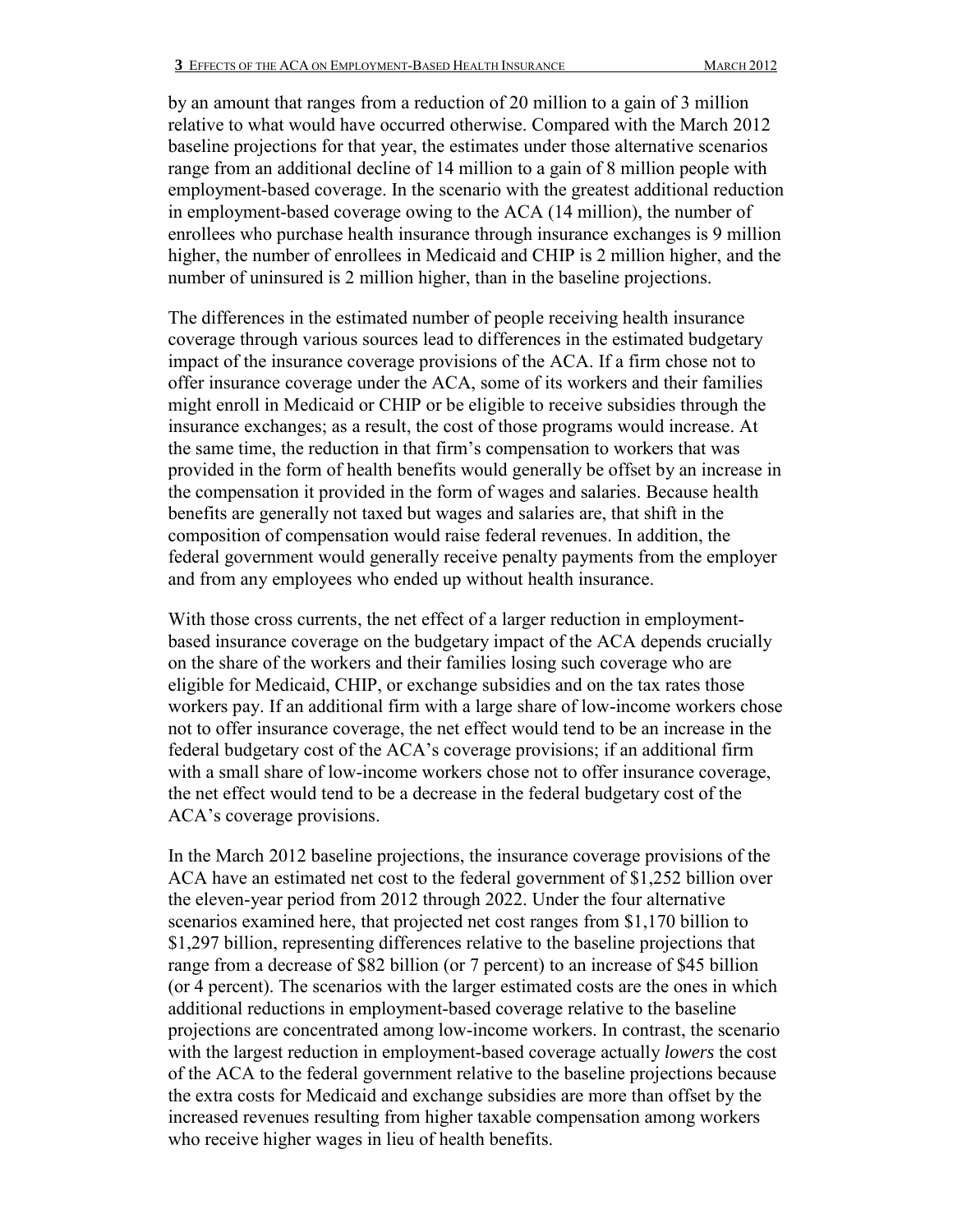by an amount that ranges from a reduction of 20 million to a gain of 3 million relative to what would have occurred otherwise. Compared with the March 2012 baseline projections for that year, the estimates under those alternative scenarios range from an additional decline of 14 million to a gain of 8 million people with employment-based coverage. In the scenario with the greatest additional reduction in employment-based coverage owing to the ACA (14 million), the number of enrollees who purchase health insurance through insurance exchanges is 9 million higher, the number of enrollees in Medicaid and CHIP is 2 million higher, and the number of uninsured is 2 million higher, than in the baseline projections.

The differences in the estimated number of people receiving health insurance coverage through various sources lead to differences in the estimated budgetary impact of the insurance coverage provisions of the ACA. If a firm chose not to offer insurance coverage under the ACA, some of its workers and their families might enroll in Medicaid or CHIP or be eligible to receive subsidies through the insurance exchanges; as a result, the cost of those programs would increase. At the same time, the reduction in that firm's compensation to workers that was provided in the form of health benefits would generally be offset by an increase in the compensation it provided in the form of wages and salaries. Because health benefits are generally not taxed but wages and salaries are, that shift in the composition of compensation would raise federal revenues. In addition, the federal government would generally receive penalty payments from the employer and from any employees who ended up without health insurance.

With those cross currents, the net effect of a larger reduction in employmentbased insurance coverage on the budgetary impact of the ACA depends crucially on the share of the workers and their families losing such coverage who are eligible for Medicaid, CHIP, or exchange subsidies and on the tax rates those workers pay. If an additional firm with a large share of low-income workers chose not to offer insurance coverage, the net effect would tend to be an increase in the federal budgetary cost of the ACA's coverage provisions; if an additional firm with a small share of low-income workers chose not to offer insurance coverage, the net effect would tend to be a decrease in the federal budgetary cost of the ACA's coverage provisions.

In the March 2012 baseline projections, the insurance coverage provisions of the ACA have an estimated net cost to the federal government of \$1,252 billion over the eleven-year period from 2012 through 2022. Under the four alternative scenarios examined here, that projected net cost ranges from \$1,170 billion to \$1,297 billion, representing differences relative to the baseline projections that range from a decrease of \$82 billion (or 7 percent) to an increase of \$45 billion (or 4 percent). The scenarios with the larger estimated costs are the ones in which additional reductions in employment-based coverage relative to the baseline projections are concentrated among low-income workers. In contrast, the scenario with the largest reduction in employment-based coverage actually *lowers* the cost of the ACA to the federal government relative to the baseline projections because the extra costs for Medicaid and exchange subsidies are more than offset by the increased revenues resulting from higher taxable compensation among workers who receive higher wages in lieu of health benefits.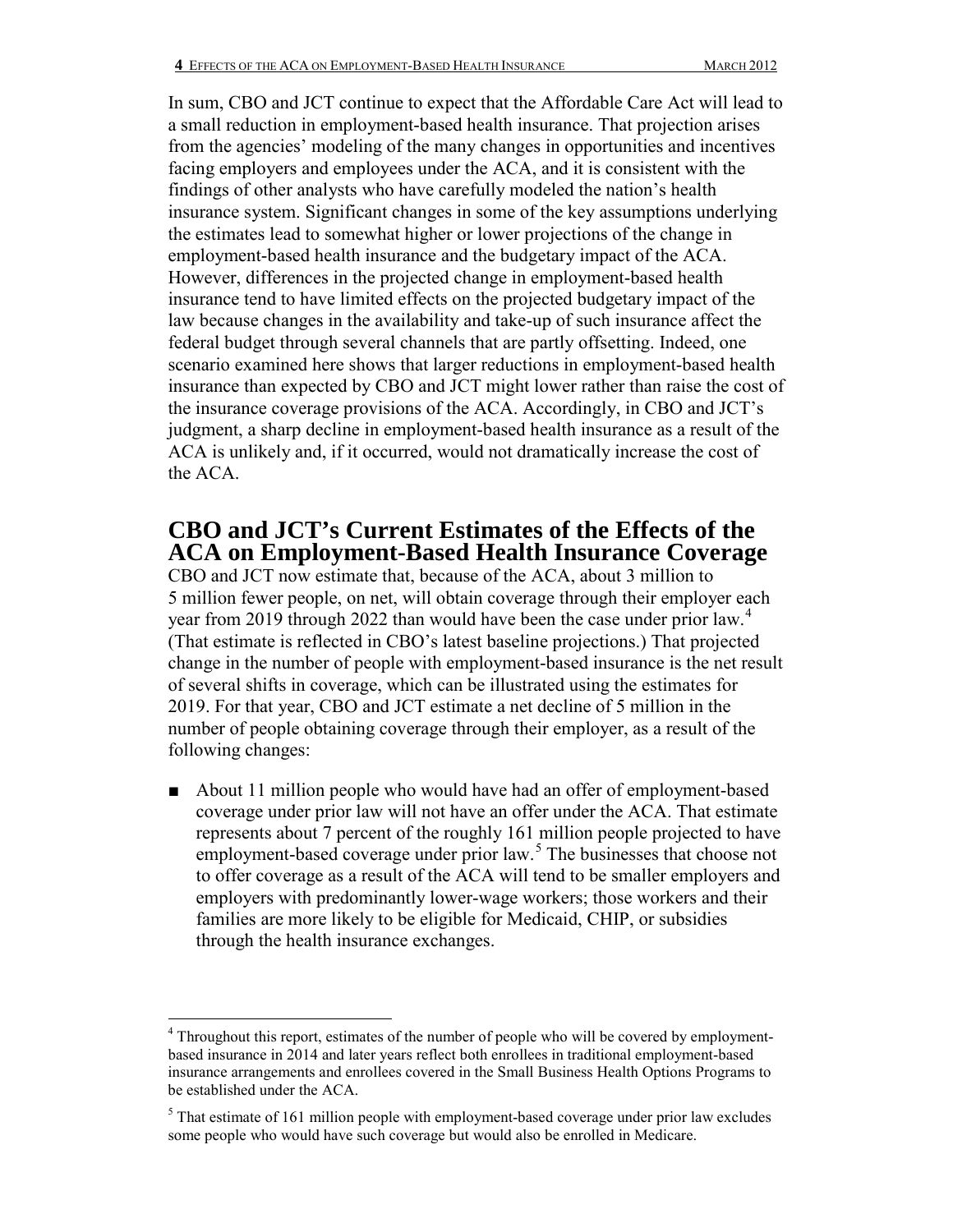In sum, CBO and JCT continue to expect that the Affordable Care Act will lead to a small reduction in employment-based health insurance. That projection arises from the agencies' modeling of the many changes in opportunities and incentives facing employers and employees under the ACA, and it is consistent with the findings of other analysts who have carefully modeled the nation's health insurance system. Significant changes in some of the key assumptions underlying the estimates lead to somewhat higher or lower projections of the change in employment-based health insurance and the budgetary impact of the ACA. However, differences in the projected change in employment-based health insurance tend to have limited effects on the projected budgetary impact of the law because changes in the availability and take-up of such insurance affect the federal budget through several channels that are partly offsetting. Indeed, one scenario examined here shows that larger reductions in employment-based health insurance than expected by CBO and JCT might lower rather than raise the cost of the insurance coverage provisions of the ACA. Accordingly, in CBO and JCT's judgment, a sharp decline in employment-based health insurance as a result of the ACA is unlikely and, if it occurred, would not dramatically increase the cost of the ACA.

### **CBO and JCT's Current Estimates of the Effects of the ACA on Employment-Based Health Insurance Coverage**

CBO and JCT now estimate that, because of the ACA, about 3 million to 5 million fewer people, on net, will obtain coverage through their employer each year from 2019 through 2022 than would have been the case under prior law.<sup>[4](#page-3-0)</sup> (That estimate is reflected in CBO's latest baseline projections.) That projected change in the number of people with employment-based insurance is the net result of several shifts in coverage, which can be illustrated using the estimates for 2019. For that year, CBO and JCT estimate a net decline of 5 million in the number of people obtaining coverage through their employer, as a result of the following changes:

■ About 11 million people who would have had an offer of employment-based coverage under prior law will not have an offer under the ACA. That estimate represents about 7 percent of the roughly 161 million people projected to have employment-based coverage under prior law.<sup>[5](#page-3-1)</sup> The businesses that choose not to offer coverage as a result of the ACA will tend to be smaller employers and employers with predominantly lower-wage workers; those workers and their families are more likely to be eligible for Medicaid, CHIP, or subsidies through the health insurance exchanges.

<span id="page-3-0"></span> $\overline{a}$ <sup>4</sup> Throughout this report, estimates of the number of people who will be covered by employmentbased insurance in 2014 and later years reflect both enrollees in traditional employment-based insurance arrangements and enrollees covered in the Small Business Health Options Programs to be established under the ACA.

<span id="page-3-1"></span> $<sup>5</sup>$  That estimate of 161 million people with employment-based coverage under prior law excludes</sup> some people who would have such coverage but would also be enrolled in Medicare.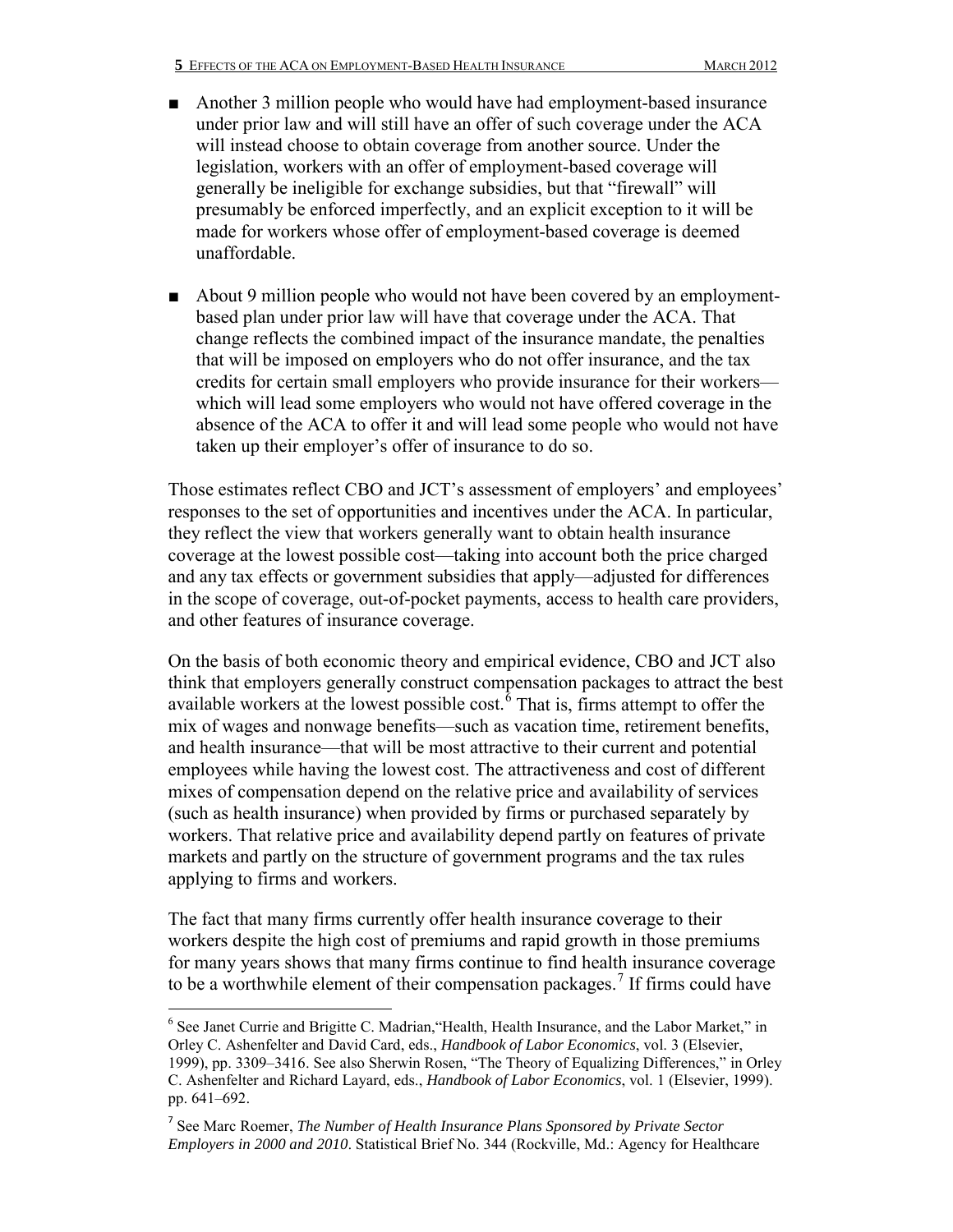- Another 3 million people who would have had employment-based insurance under prior law and will still have an offer of such coverage under the ACA will instead choose to obtain coverage from another source. Under the legislation, workers with an offer of employment-based coverage will generally be ineligible for exchange subsidies, but that "firewall" will presumably be enforced imperfectly, and an explicit exception to it will be made for workers whose offer of employment-based coverage is deemed unaffordable.
- About 9 million people who would not have been covered by an employmentbased plan under prior law will have that coverage under the ACA. That change reflects the combined impact of the insurance mandate, the penalties that will be imposed on employers who do not offer insurance, and the tax credits for certain small employers who provide insurance for their workers which will lead some employers who would not have offered coverage in the absence of the ACA to offer it and will lead some people who would not have taken up their employer's offer of insurance to do so.

Those estimates reflect CBO and JCT's assessment of employers' and employees' responses to the set of opportunities and incentives under the ACA. In particular, they reflect the view that workers generally want to obtain health insurance coverage at the lowest possible cost—taking into account both the price charged and any tax effects or government subsidies that apply—adjusted for differences in the scope of coverage, out-of-pocket payments, access to health care providers, and other features of insurance coverage.

On the basis of both economic theory and empirical evidence, CBO and JCT also think that employers generally construct compensation packages to attract the best available workers at the lowest possible cost.[6](#page-4-0) That is, firms attempt to offer the mix of wages and nonwage benefits—such as vacation time, retirement benefits, and health insurance—that will be most attractive to their current and potential employees while having the lowest cost. The attractiveness and cost of different mixes of compensation depend on the relative price and availability of services (such as health insurance) when provided by firms or purchased separately by workers. That relative price and availability depend partly on features of private markets and partly on the structure of government programs and the tax rules applying to firms and workers.

The fact that many firms currently offer health insurance coverage to their workers despite the high cost of premiums and rapid growth in those premiums for many years shows that many firms continue to find health insurance coverage to be a worthwhile element of their compensation packages.<sup>[7](#page-4-1)</sup> If firms could have

<span id="page-4-0"></span><sup>6</sup> See Janet Currie and Brigitte C. Madrian,"Health, Health Insurance, and the Labor Market," in Orley C. Ashenfelter and David Card, eds., *Handbook of Labor Economics*, vol. 3 (Elsevier, 1999), pp. 3309–3416. See also Sherwin Rosen, "The Theory of Equalizing Differences," in Orley C. Ashenfelter and Richard Layard, eds., *Handbook of Labor Economics*, vol. 1 (Elsevier, 1999). pp. 641–692.

<span id="page-4-1"></span><sup>7</sup> See Marc Roemer, *The Number of Health Insurance Plans Sponsored by Private Sector Employers in 2000 and 2010*. Statistical Brief No. 344 (Rockville, Md.: Agency for Healthcare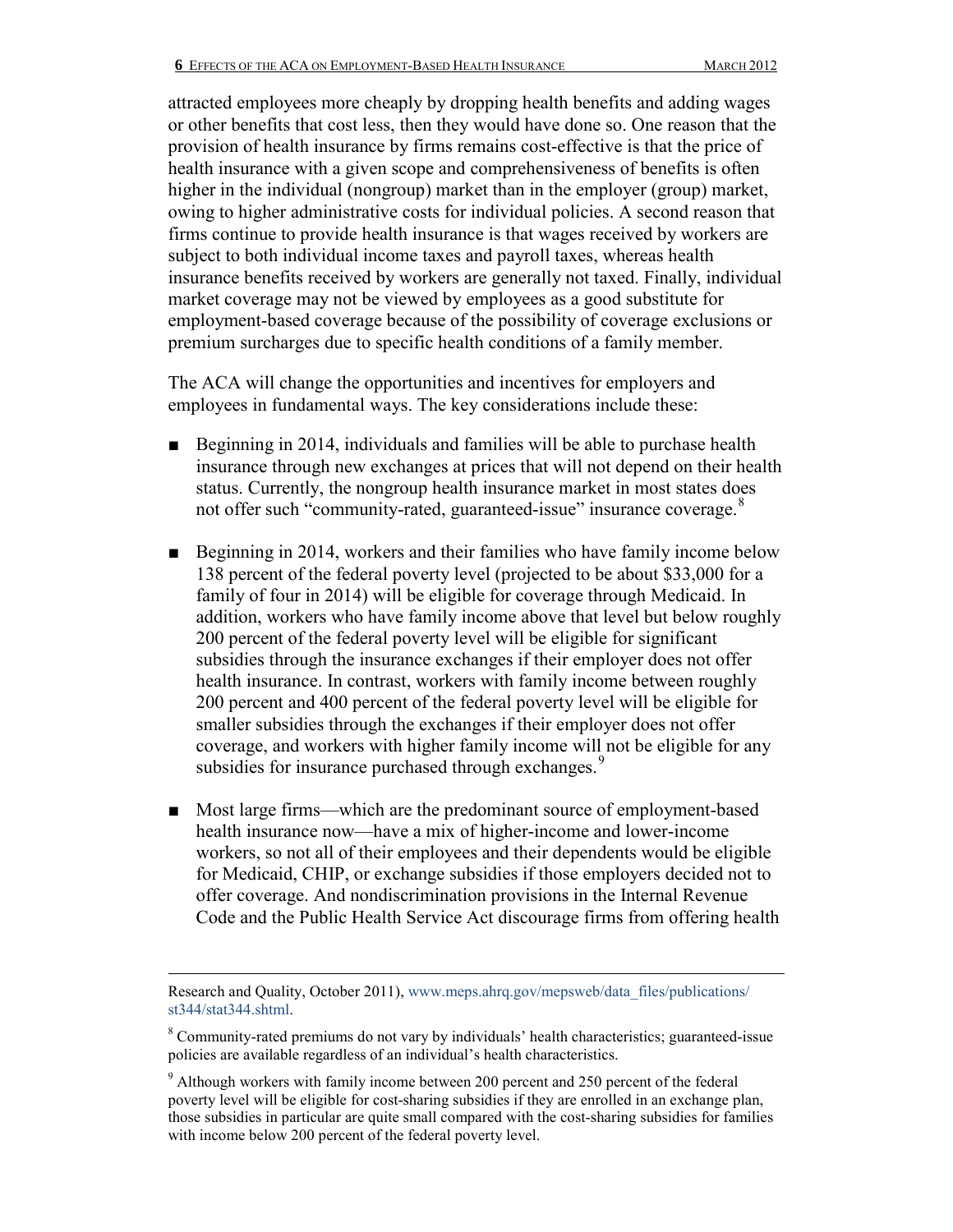attracted employees more cheaply by dropping health benefits and adding wages or other benefits that cost less, then they would have done so. One reason that the provision of health insurance by firms remains cost-effective is that the price of health insurance with a given scope and comprehensiveness of benefits is often higher in the individual (nongroup) market than in the employer (group) market, owing to higher administrative costs for individual policies. A second reason that firms continue to provide health insurance is that wages received by workers are subject to both individual income taxes and payroll taxes, whereas health insurance benefits received by workers are generally not taxed. Finally, individual market coverage may not be viewed by employees as a good substitute for employment-based coverage because of the possibility of coverage exclusions or premium surcharges due to specific health conditions of a family member.

The ACA will change the opportunities and incentives for employers and employees in fundamental ways. The key considerations include these:

- Beginning in 2014, individuals and families will be able to purchase health insurance through new exchanges at prices that will not depend on their health status. Currently, the nongroup health insurance market in most states does not offer such "community-rated, guaranteed-issue" insurance coverage.<sup>[8](#page-5-0)</sup>
- Beginning in 2014, workers and their families who have family income below 138 percent of the federal poverty level (projected to be about \$33,000 for a family of four in 2014) will be eligible for coverage through Medicaid. In addition, workers who have family income above that level but below roughly 200 percent of the federal poverty level will be eligible for significant subsidies through the insurance exchanges if their employer does not offer health insurance. In contrast, workers with family income between roughly 200 percent and 400 percent of the federal poverty level will be eligible for smaller subsidies through the exchanges if their employer does not offer coverage, and workers with higher family income will not be eligible for any subsidies for insurance purchased through exchanges.<sup>[9](#page-5-1)</sup>
- Most large firms—which are the predominant source of employment-based health insurance now—have a mix of higher-income and lower-income workers, so not all of their employees and their dependents would be eligible for Medicaid, CHIP, or exchange subsidies if those employers decided not to offer coverage. And nondiscrimination provisions in the Internal Revenue Code and the Public Health Service Act discourage firms from offering health

Research and Quality, October 2011), [www.meps.ahrq.gov/mepsweb/data\\_files/publications/](http://www.meps.ahrq.gov/mepsweb/data_files/publications/st344/stat344.shtml) [st344/stat344.shtml.](http://www.meps.ahrq.gov/mepsweb/data_files/publications/st344/stat344.shtml)

<span id="page-5-0"></span><sup>&</sup>lt;sup>8</sup> Community-rated premiums do not vary by individuals' health characteristics; guaranteed-issue policies are available regardless of an individual's health characteristics.

<span id="page-5-1"></span> $9$  Although workers with family income between 200 percent and 250 percent of the federal poverty level will be eligible for cost-sharing subsidies if they are enrolled in an exchange plan, those subsidies in particular are quite small compared with the cost-sharing subsidies for families with income below 200 percent of the federal poverty level.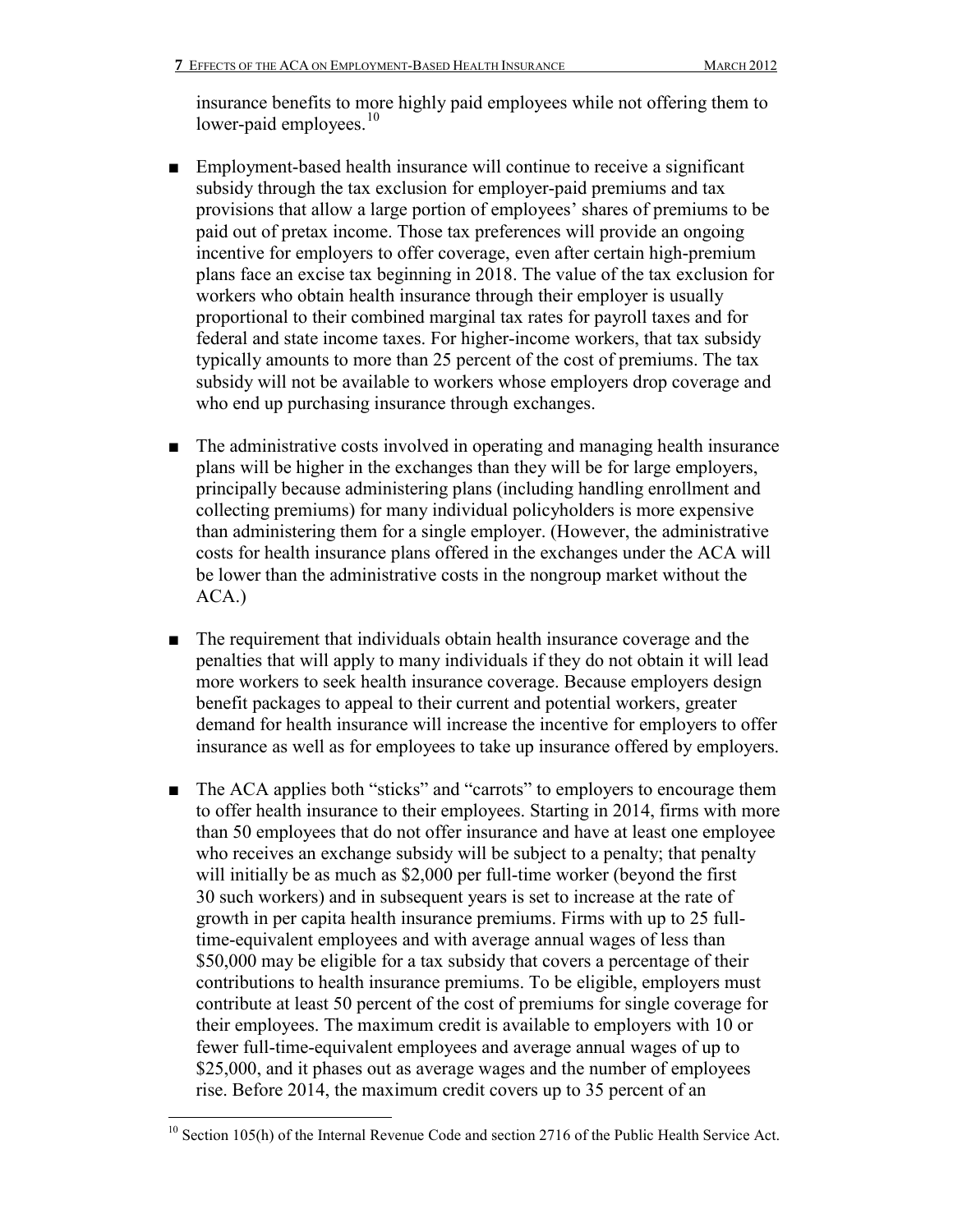insurance benefits to more highly paid employees while not offering them to lower-paid employees.<sup>[10](#page-6-0)</sup>

- Employment-based health insurance will continue to receive a significant subsidy through the tax exclusion for employer-paid premiums and tax provisions that allow a large portion of employees' shares of premiums to be paid out of pretax income. Those tax preferences will provide an ongoing incentive for employers to offer coverage, even after certain high-premium plans face an excise tax beginning in 2018. The value of the tax exclusion for workers who obtain health insurance through their employer is usually proportional to their combined marginal tax rates for payroll taxes and for federal and state income taxes. For higher-income workers, that tax subsidy typically amounts to more than 25 percent of the cost of premiums. The tax subsidy will not be available to workers whose employers drop coverage and who end up purchasing insurance through exchanges.
- The administrative costs involved in operating and managing health insurance plans will be higher in the exchanges than they will be for large employers, principally because administering plans (including handling enrollment and collecting premiums) for many individual policyholders is more expensive than administering them for a single employer. (However, the administrative costs for health insurance plans offered in the exchanges under the ACA will be lower than the administrative costs in the nongroup market without the ACA.)
- The requirement that individuals obtain health insurance coverage and the penalties that will apply to many individuals if they do not obtain it will lead more workers to seek health insurance coverage. Because employers design benefit packages to appeal to their current and potential workers, greater demand for health insurance will increase the incentive for employers to offer insurance as well as for employees to take up insurance offered by employers.
- The ACA applies both "sticks" and "carrots" to employers to encourage them to offer health insurance to their employees. Starting in 2014, firms with more than 50 employees that do not offer insurance and have at least one employee who receives an exchange subsidy will be subject to a penalty; that penalty will initially be as much as \$2,000 per full-time worker (beyond the first 30 such workers) and in subsequent years is set to increase at the rate of growth in per capita health insurance premiums. Firms with up to 25 fulltime-equivalent employees and with average annual wages of less than \$50,000 may be eligible for a tax subsidy that covers a percentage of their contributions to health insurance premiums. To be eligible, employers must contribute at least 50 percent of the cost of premiums for single coverage for their employees. The maximum credit is available to employers with 10 or fewer full-time-equivalent employees and average annual wages of up to \$25,000, and it phases out as average wages and the number of employees rise. Before 2014, the maximum credit covers up to 35 percent of an

<span id="page-6-0"></span> $\overline{a}$ <sup>10</sup> Section 105(h) of the Internal Revenue Code and section 2716 of the Public Health Service Act.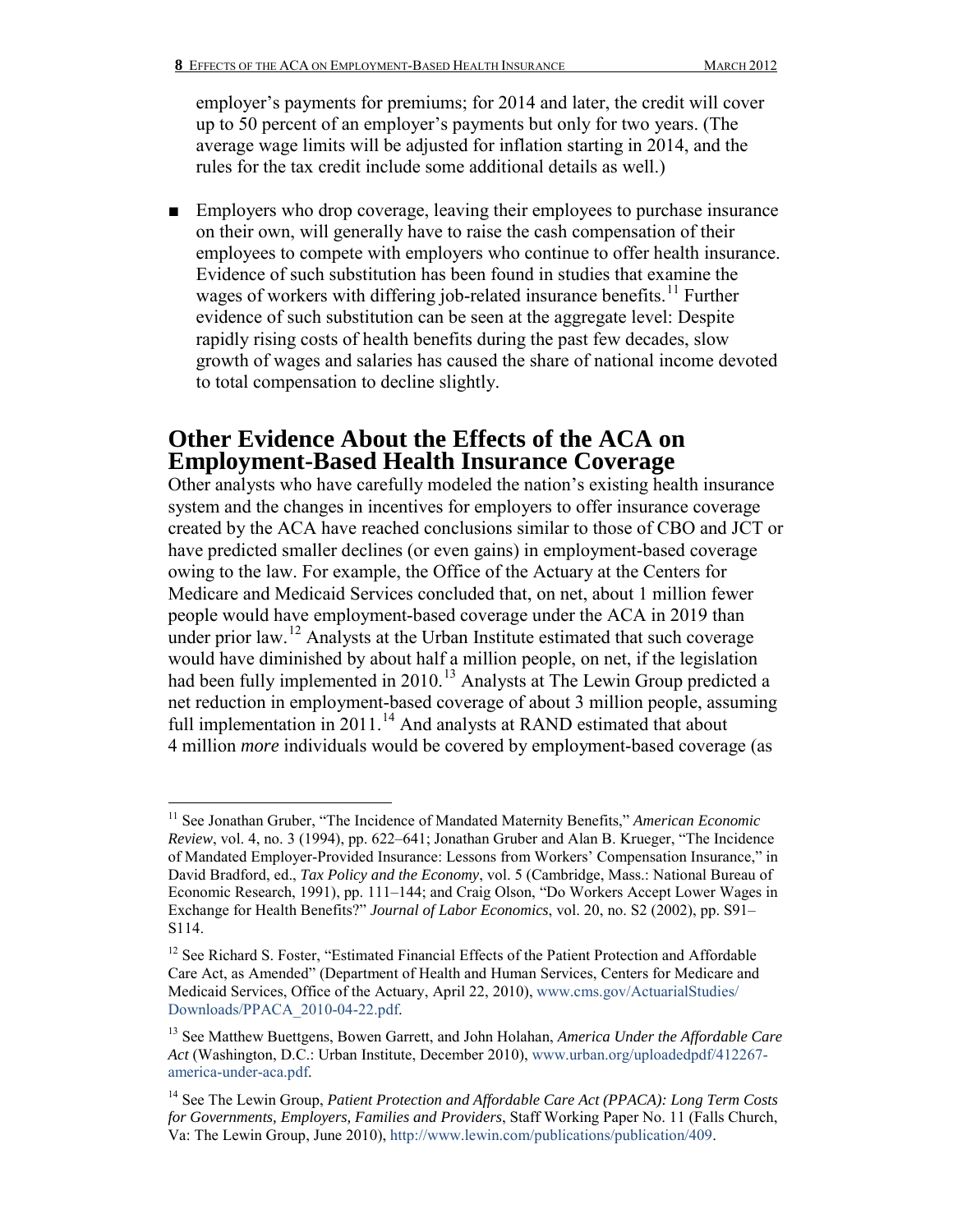employer's payments for premiums; for 2014 and later, the credit will cover up to 50 percent of an employer's payments but only for two years. (The average wage limits will be adjusted for inflation starting in 2014, and the rules for the tax credit include some additional details as well.)

■ Employers who drop coverage, leaving their employees to purchase insurance on their own, will generally have to raise the cash compensation of their employees to compete with employers who continue to offer health insurance. Evidence of such substitution has been found in studies that examine the wages of workers with differing job-related insurance benefits.<sup>[11](#page-7-0)</sup> Further evidence of such substitution can be seen at the aggregate level: Despite rapidly rising costs of health benefits during the past few decades, slow growth of wages and salaries has caused the share of national income devoted to total compensation to decline slightly.

## **Other Evidence About the Effects of the ACA on Employment-Based Health Insurance Coverage**

Other analysts who have carefully modeled the nation's existing health insurance system and the changes in incentives for employers to offer insurance coverage created by the ACA have reached conclusions similar to those of CBO and JCT or have predicted smaller declines (or even gains) in employment-based coverage owing to the law. For example, the Office of the Actuary at the Centers for Medicare and Medicaid Services concluded that, on net, about 1 million fewer people would have employment-based coverage under the ACA in 2019 than under prior law.<sup>12</sup> Analysts at the Urban Institute estimated that such coverage would have diminished by about half a million people, on net, if the legislation had been fully implemented in 2010.<sup>[13](#page-7-2)</sup> Analysts at The Lewin Group predicted a net reduction in employment-based coverage of about 3 million people, assuming full implementation in 2011.<sup>[14](#page-7-3)</sup> And analysts at RAND estimated that about 4 million *more* individuals would be covered by employment-based coverage (as

<span id="page-7-0"></span> $\overline{a}$ <sup>11</sup> See Jonathan Gruber, "The Incidence of Mandated Maternity Benefits," American Economic *Review*, vol. 4, no. 3 (1994), pp. 622–641; Jonathan Gruber and Alan B. Krueger, "The Incidence of Mandated Employer-Provided Insurance: Lessons from Workers' Compensation Insurance," in David Bradford, ed., *Tax Policy and the Economy*, vol. 5 (Cambridge, Mass.: National Bureau of Economic Research, 1991), pp. 111–144; and Craig Olson, "Do Workers Accept Lower Wages in Exchange for Health Benefits?" *Journal of Labor Economics*, vol. 20, no. S2 (2002), pp. S91– S114.

<span id="page-7-1"></span><sup>&</sup>lt;sup>12</sup> See Richard S. Foster, "Estimated Financial Effects of the Patient Protection and Affordable Care Act, as Amended" (Department of Health and Human Services, Centers for Medicare and Medicaid Services, Office of the Actuary, April 22, 2010), [www.cms.gov/ActuarialStudies/](http://www.cms.gov/ActuarialStudies/Downloads/PPACA_2010-04-22.pdf) [Downloads/PPACA\\_2010-04-22.pdf.](http://www.cms.gov/ActuarialStudies/Downloads/PPACA_2010-04-22.pdf)

<span id="page-7-2"></span><sup>13</sup> See Matthew Buettgens, Bowen Garrett, and John Holahan, *America Under the Affordable Care Act* (Washington, D.C.: Urban Institute, December 2010), [www.urban.org/uploadedpdf/412267](http://www.urban.org/uploadedpdf/412267-america-under-aca.pdf) [america-under-aca.pdf.](http://www.urban.org/uploadedpdf/412267-america-under-aca.pdf)

<span id="page-7-3"></span><sup>&</sup>lt;sup>14</sup> See The Lewin Group, *Patient Protection and Affordable Care Act (PPACA): Long Term Costs for Governments, Employers, Families and Providers*, Staff Working Paper No. 11 (Falls Church, Va: The Lewin Group, June 2010), http://www.lewin.com/publications/publication/409.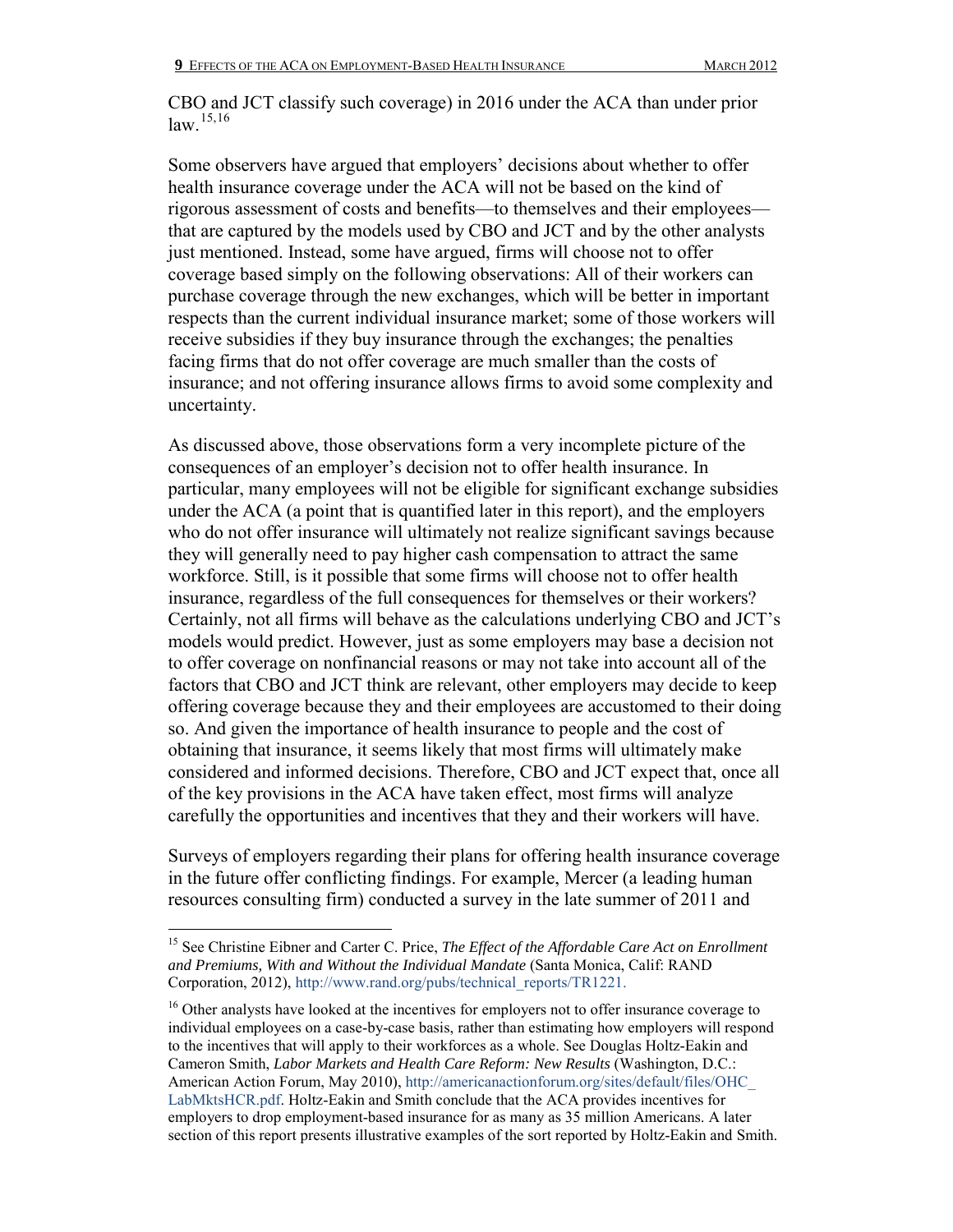CBO and JCT classify such coverage) in 2016 under the ACA than under prior  $law$ <sup>[15](#page-8-0),[16](#page-8-1)</sup>

Some observers have argued that employers' decisions about whether to offer health insurance coverage under the ACA will not be based on the kind of rigorous assessment of costs and benefits—to themselves and their employees that are captured by the models used by CBO and JCT and by the other analysts just mentioned. Instead, some have argued, firms will choose not to offer coverage based simply on the following observations: All of their workers can purchase coverage through the new exchanges, which will be better in important respects than the current individual insurance market; some of those workers will receive subsidies if they buy insurance through the exchanges; the penalties facing firms that do not offer coverage are much smaller than the costs of insurance; and not offering insurance allows firms to avoid some complexity and uncertainty.

As discussed above, those observations form a very incomplete picture of the consequences of an employer's decision not to offer health insurance. In particular, many employees will not be eligible for significant exchange subsidies under the ACA (a point that is quantified later in this report), and the employers who do not offer insurance will ultimately not realize significant savings because they will generally need to pay higher cash compensation to attract the same workforce. Still, is it possible that some firms will choose not to offer health insurance, regardless of the full consequences for themselves or their workers? Certainly, not all firms will behave as the calculations underlying CBO and JCT's models would predict. However, just as some employers may base a decision not to offer coverage on nonfinancial reasons or may not take into account all of the factors that CBO and JCT think are relevant, other employers may decide to keep offering coverage because they and their employees are accustomed to their doing so. And given the importance of health insurance to people and the cost of obtaining that insurance, it seems likely that most firms will ultimately make considered and informed decisions. Therefore, CBO and JCT expect that, once all of the key provisions in the ACA have taken effect, most firms will analyze carefully the opportunities and incentives that they and their workers will have.

Surveys of employers regarding their plans for offering health insurance coverage in the future offer conflicting findings. For example, Mercer (a leading human resources consulting firm) conducted a survey in the late summer of 2011 and

<span id="page-8-0"></span><sup>&</sup>lt;sup>15</sup> See Christine Eibner and Carter C. Price, *The Effect of the Affordable Care Act on Enrollment and Premiums, With and Without the Individual Mandate* (Santa Monica, Calif: RAND Corporation, 2012)[, http://www.rand.org/pubs/technical\\_reports/TR1221.](http://www.rand.org/pubs/technical_reports/TR1221)

<span id="page-8-1"></span><sup>&</sup>lt;sup>16</sup> Other analysts have looked at the incentives for employers not to offer insurance coverage to individual employees on a case-by-case basis, rather than estimating how employers will respond to the incentives that will apply to their workforces as a whole. See Douglas Holtz-Eakin and Cameron Smith, *Labor Markets and Health Care Reform: New Results* (Washington, D.C.: American Action Forum, May 2010)[, http://americanactionforum.org/sites/default/files/OHC\\_](http://americanactionforum.org/sites/default/files/OHC_LabMktsHCR.pdf) [LabMktsHCR.pdf.](http://americanactionforum.org/sites/default/files/OHC_LabMktsHCR.pdf) Holtz-Eakin and Smith conclude that the ACA provides incentives for employers to drop employment-based insurance for as many as 35 million Americans. A later section of this report presents illustrative examples of the sort reported by Holtz-Eakin and Smith.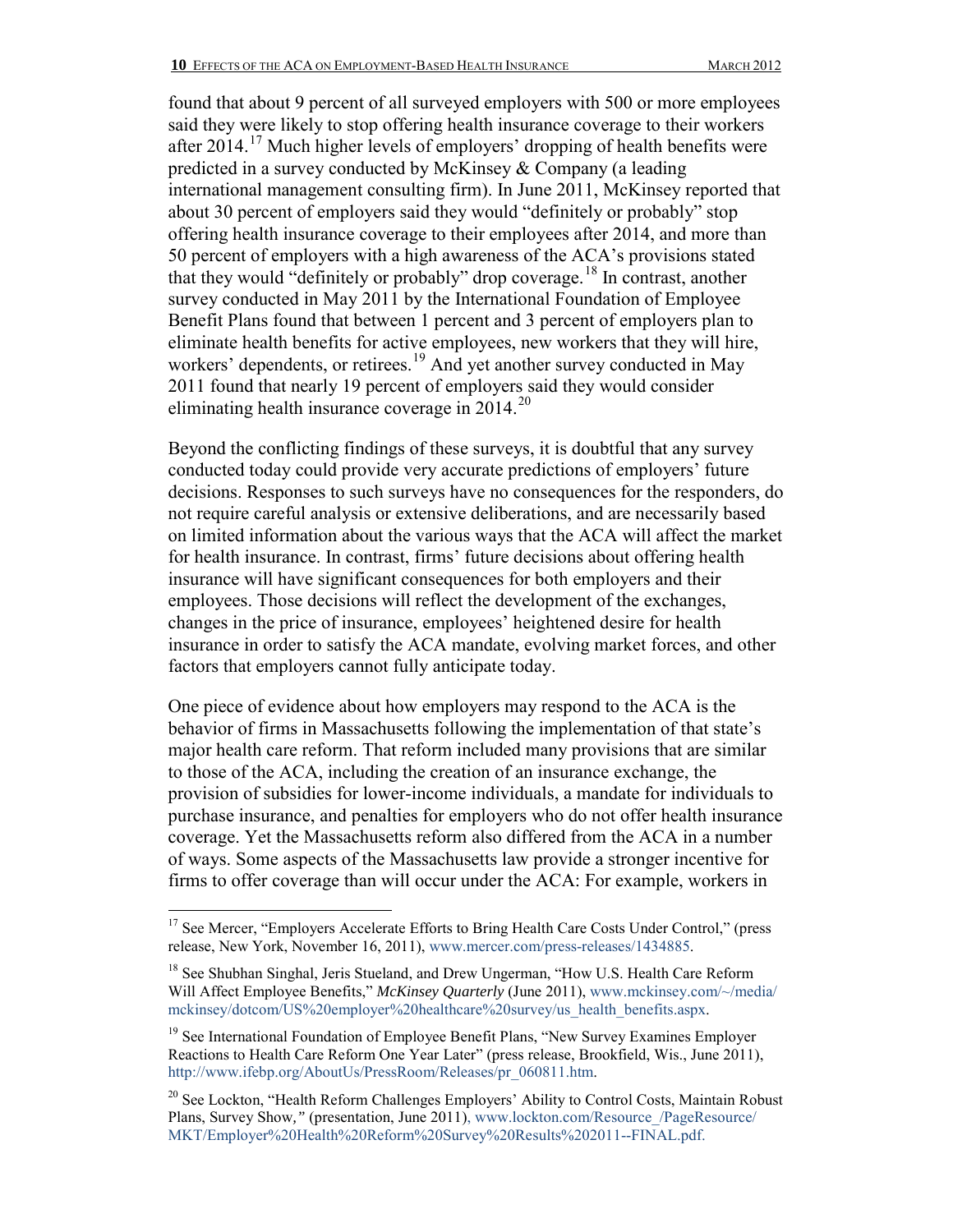found that about 9 percent of all surveyed employers with 500 or more employees said they were likely to stop offering health insurance coverage to their workers after 2014.[17](#page-9-0) Much higher levels of employers' dropping of health benefits were predicted in a survey conducted by McKinsey & Company (a leading international management consulting firm). In June 2011, McKinsey reported that about 30 percent of employers said they would "definitely or probably" stop offering health insurance coverage to their employees after 2014, and more than 50 percent of employers with a high awareness of the ACA's provisions stated that they would "definitely or probably" drop coverage.[18](#page-9-1) In contrast, another survey conducted in May 2011 by the International Foundation of Employee Benefit Plans found that between 1 percent and 3 percent of employers plan to eliminate health benefits for active employees, new workers that they will hire, workers' dependents, or retirees.<sup>19</sup> And yet another survey conducted in May 2011 found that nearly 19 percent of employers said they would consider eliminating health insurance coverage in [20](#page-9-3)14.<sup>20</sup>

Beyond the conflicting findings of these surveys, it is doubtful that any survey conducted today could provide very accurate predictions of employers' future decisions. Responses to such surveys have no consequences for the responders, do not require careful analysis or extensive deliberations, and are necessarily based on limited information about the various ways that the ACA will affect the market for health insurance. In contrast, firms' future decisions about offering health insurance will have significant consequences for both employers and their employees. Those decisions will reflect the development of the exchanges, changes in the price of insurance, employees' heightened desire for health insurance in order to satisfy the ACA mandate, evolving market forces, and other factors that employers cannot fully anticipate today.

One piece of evidence about how employers may respond to the ACA is the behavior of firms in Massachusetts following the implementation of that state's major health care reform. That reform included many provisions that are similar to those of the ACA, including the creation of an insurance exchange, the provision of subsidies for lower-income individuals, a mandate for individuals to purchase insurance, and penalties for employers who do not offer health insurance coverage. Yet the Massachusetts reform also differed from the ACA in a number of ways. Some aspects of the Massachusetts law provide a stronger incentive for firms to offer coverage than will occur under the ACA: For example, workers in

<span id="page-9-0"></span> $\overline{a}$ <sup>17</sup> See Mercer, "Employers Accelerate Efforts to Bring Health Care Costs Under Control," (press release, New York, November 16, 2011)[, www.mercer.com/press-releases/1434885.](http://www.mercer.com/press-releases/1434885) 

<span id="page-9-1"></span><sup>&</sup>lt;sup>18</sup> See Shubhan Singhal, Jeris Stueland, and Drew Ungerman, "How U.S. Health Care Reform Will Affect Employee Benefits," *McKinsey Quarterly* (June 2011), [www.mckinsey.com/~/media/](http://www.mckinsey.com/~/media/mckinsey/dotcom/US%20employer%20healthcare%20survey/us_health_benefits.aspx) [mckinsey/dotcom/US%20employer%20healthcare%20survey/us\\_health\\_benefits.aspx.](http://www.mckinsey.com/~/media/mckinsey/dotcom/US%20employer%20healthcare%20survey/us_health_benefits.aspx)

<span id="page-9-2"></span><sup>&</sup>lt;sup>19</sup> See International Foundation of Employee Benefit Plans, "New Survey Examines Employer Reactions to Health Care Reform One Year Later" (press release, Brookfield, Wis., June 2011), [http://www.ifebp.org/AboutUs/PressRoom/Releases/pr\\_060811.htm.](http://www.ifebp.org/AboutUs/PressRoom/Releases/pr_060811.htm)

<span id="page-9-3"></span> $20$  See Lockton, "Health Reform Challenges Employers' Ability to Control Costs, Maintain Robust Plans, Survey Show," (presentation, June 2011), www.lockton.com/Resource /PageResource/ [MKT/Employer%20Health%20Reform%20Survey%20Results%202011--FINAL.pdf.](http://www.lockton.com/Resource_/PageResource/MKT/Employer%20Health%20Reform%20Survey%20Results%202011--FINAL.pdf)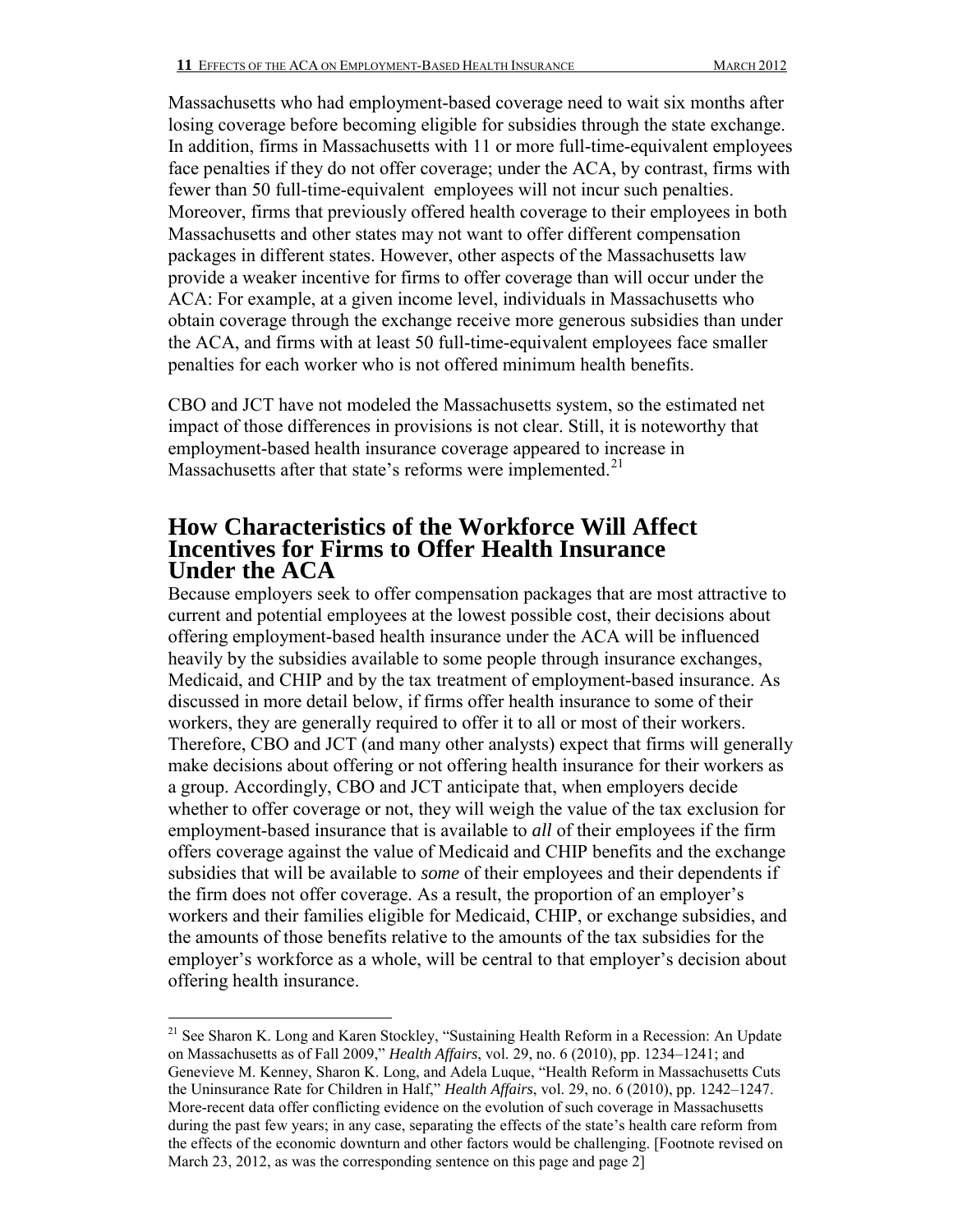Massachusetts who had employment-based coverage need to wait six months after losing coverage before becoming eligible for subsidies through the state exchange. In addition, firms in Massachusetts with 11 or more full-time-equivalent employees face penalties if they do not offer coverage; under the ACA, by contrast, firms with fewer than 50 full-time-equivalent employees will not incur such penalties. Moreover, firms that previously offered health coverage to their employees in both Massachusetts and other states may not want to offer different compensation packages in different states. However, other aspects of the Massachusetts law provide a weaker incentive for firms to offer coverage than will occur under the ACA: For example, at a given income level, individuals in Massachusetts who obtain coverage through the exchange receive more generous subsidies than under the ACA, and firms with at least 50 full-time-equivalent employees face smaller penalties for each worker who is not offered minimum health benefits.

CBO and JCT have not modeled the Massachusetts system, so the estimated net impact of those differences in provisions is not clear. Still, it is noteworthy that employment-based health insurance coverage appeared to increase in Massachusetts after that state's reforms were implemented.<sup>21</sup>

### **How Characteristics of the Workforce Will Affect Incentives for Firms to Offer Health Insurance Under the ACA**

Because employers seek to offer compensation packages that are most attractive to current and potential employees at the lowest possible cost, their decisions about offering employment-based health insurance under the ACA will be influenced heavily by the subsidies available to some people through insurance exchanges, Medicaid, and CHIP and by the tax treatment of employment-based insurance. As discussed in more detail below, if firms offer health insurance to some of their workers, they are generally required to offer it to all or most of their workers. Therefore, CBO and JCT (and many other analysts) expect that firms will generally make decisions about offering or not offering health insurance for their workers as a group. Accordingly, CBO and JCT anticipate that, when employers decide whether to offer coverage or not, they will weigh the value of the tax exclusion for employment-based insurance that is available to *all* of their employees if the firm offers coverage against the value of Medicaid and CHIP benefits and the exchange subsidies that will be available to *some* of their employees and their dependents if the firm does not offer coverage. As a result, the proportion of an employer's workers and their families eligible for Medicaid, CHIP, or exchange subsidies, and the amounts of those benefits relative to the amounts of the tax subsidies for the employer's workforce as a whole, will be central to that employer's decision about offering health insurance.

 $\overline{a}$ <sup>21</sup> See Sharon K. Long and Karen Stockley, "Sustaining Health Reform in a Recession: An Update on Massachusetts as of Fall 2009," *Health Affairs*, vol. 29, no. 6 (2010), pp. 1234–1241; and Genevieve M. Kenney, Sharon K. Long, and Adela Luque, "Health Reform in Massachusetts Cuts the Uninsurance Rate for Children in Half," *Health Affairs*, vol. 29, no. 6 (2010), pp. 1242–1247. More-recent data offer conflicting evidence on the evolution of such coverage in Massachusetts during the past few years; in any case, separating the effects of the state's health care reform from the effects of the economic downturn and other factors would be challenging. [Footnote revised on March 23, 2012, as was the corresponding sentence on this page and page 2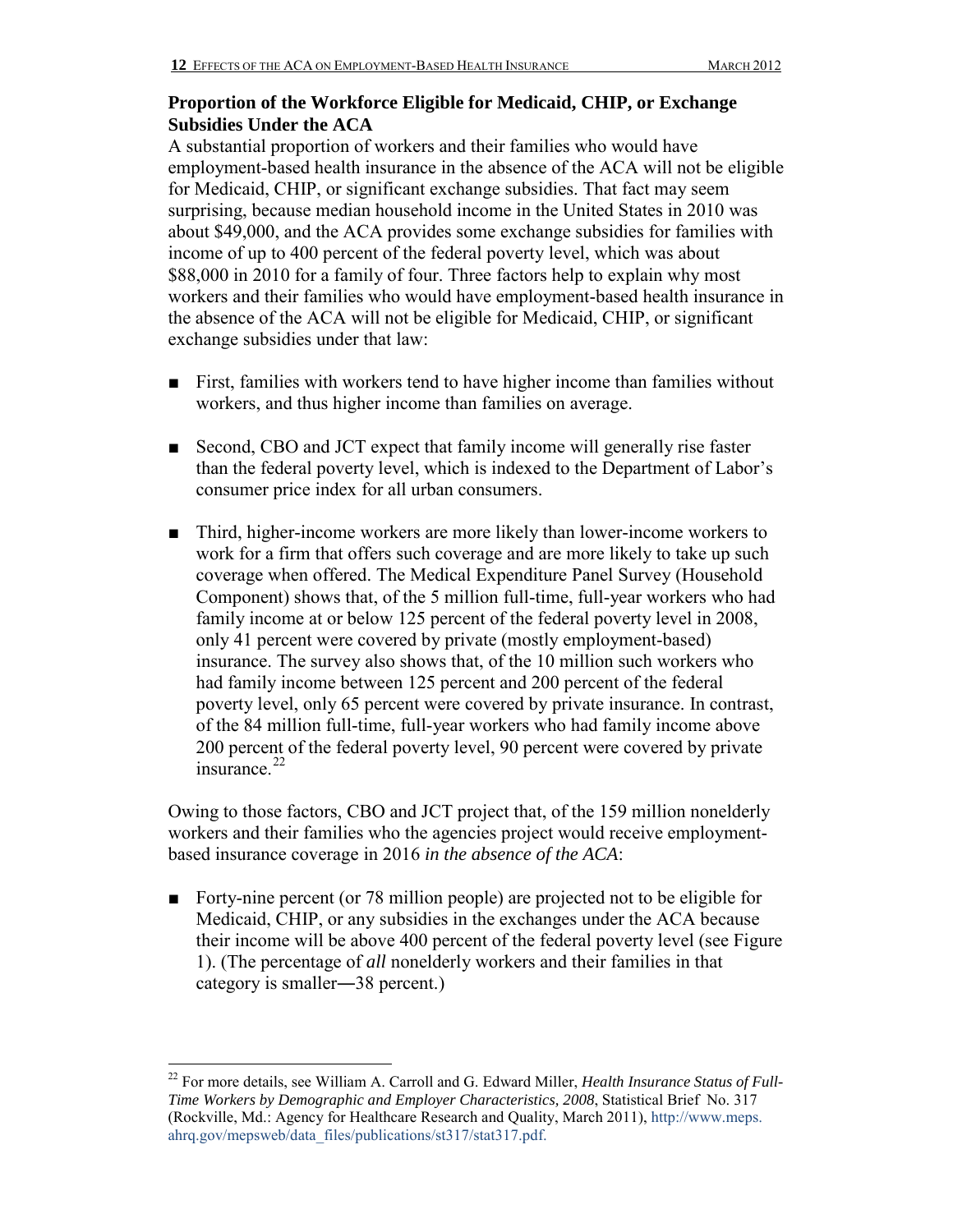### **Proportion of the Workforce Eligible for Medicaid, CHIP, or Exchange Subsidies Under the ACA**

A substantial proportion of workers and their families who would have employment-based health insurance in the absence of the ACA will not be eligible for Medicaid, CHIP, or significant exchange subsidies. That fact may seem surprising, because median household income in the United States in 2010 was about \$49,000, and the ACA provides some exchange subsidies for families with income of up to 400 percent of the federal poverty level, which was about \$88,000 in 2010 for a family of four. Three factors help to explain why most workers and their families who would have employment-based health insurance in the absence of the ACA will not be eligible for Medicaid, CHIP, or significant exchange subsidies under that law:

- First, families with workers tend to have higher income than families without workers, and thus higher income than families on average.
- Second, CBO and JCT expect that family income will generally rise faster than the federal poverty level, which is indexed to the Department of Labor's consumer price index for all urban consumers.
- Third, higher-income workers are more likely than lower-income workers to work for a firm that offers such coverage and are more likely to take up such coverage when offered. The Medical Expenditure Panel Survey (Household Component) shows that, of the 5 million full-time, full-year workers who had family income at or below 125 percent of the federal poverty level in 2008, only 41 percent were covered by private (mostly employment-based) insurance. The survey also shows that, of the 10 million such workers who had family income between 125 percent and 200 percent of the federal poverty level, only 65 percent were covered by private insurance. In contrast, of the 84 million full-time, full-year workers who had family income above 200 percent of the federal poverty level, 90 percent were covered by private insurance. $^{22}$  $^{22}$  $^{22}$

Owing to those factors, CBO and JCT project that, of the 159 million nonelderly workers and their families who the agencies project would receive employmentbased insurance coverage in 2016 *in the absence of the ACA*:

■ Forty-nine percent (or 78 million people) are projected not to be eligible for Medicaid, CHIP, or any subsidies in the exchanges under the ACA because their income will be above 400 percent of the federal poverty level (see Figure 1). (The percentage of *all* nonelderly workers and their families in that category is smaller―38 percent.)

<span id="page-11-0"></span><sup>22</sup> For more details, see William A. Carroll and G. Edward Miller, *Health Insurance Status of Full-Time Workers by Demographic and Employer Characteristics, 2008*, Statistical Brief No. 317 (Rockville, Md.: Agency for Healthcare Research and Quality, March 2011)[, http://www.meps.](http://www.meps.ahrq.gov/mepsweb/data_files/publications/st317/stat317.pdf) [ahrq.gov/mepsweb/data\\_files/publications/st317/stat317.pdf.](http://www.meps.ahrq.gov/mepsweb/data_files/publications/st317/stat317.pdf)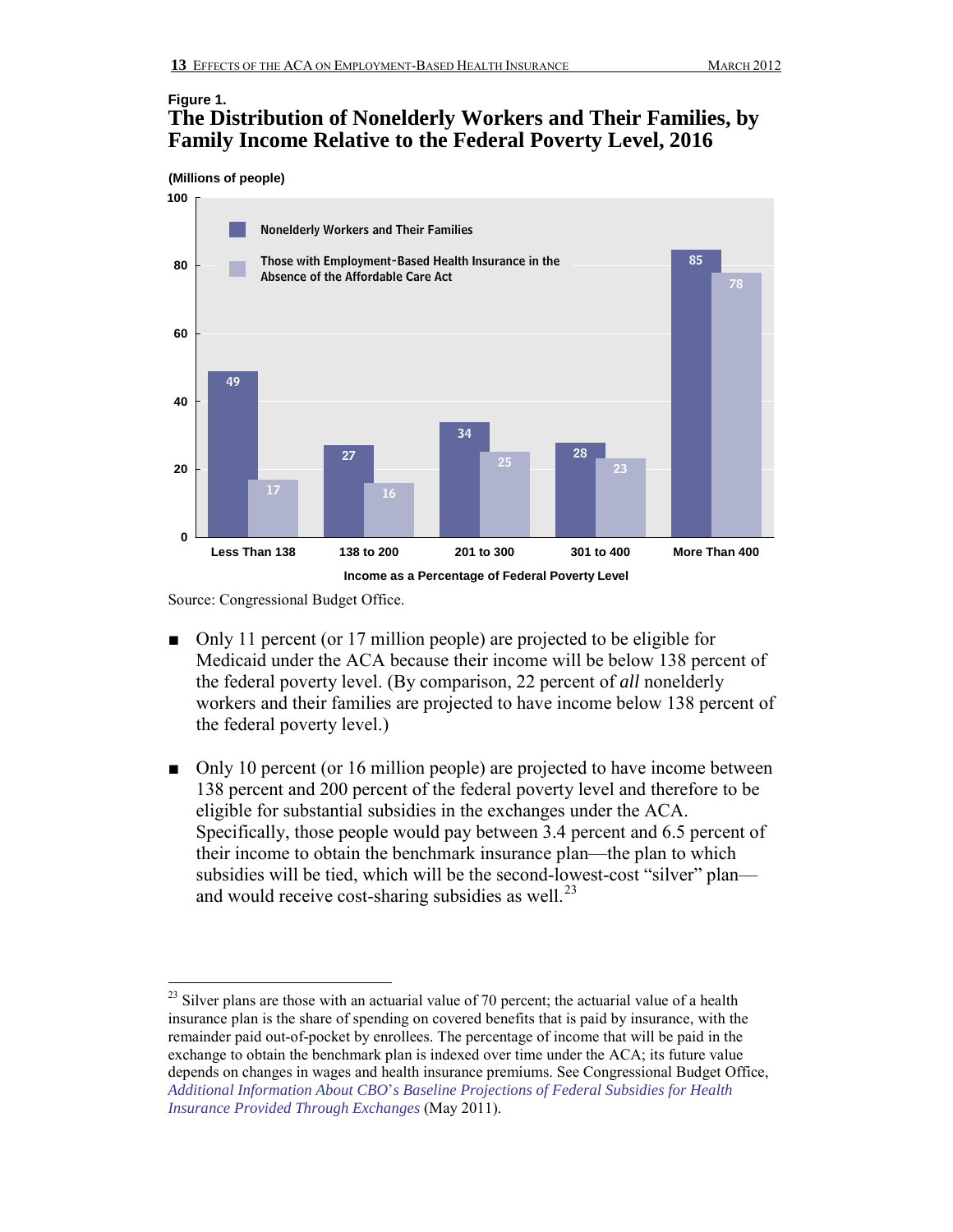#### **Figure 1. The Distribution of Nonelderly Workers and Their Families, by Family Income Relative to the Federal Poverty Level, 2016**

**(Millions of people)**



Source: Congressional Budget Office.

- Only 11 percent (or 17 million people) are projected to be eligible for Medicaid under the ACA because their income will be below 138 percent of the federal poverty level. (By comparison, 22 percent of *all* nonelderly workers and their families are projected to have income below 138 percent of the federal poverty level.)
- Only 10 percent (or 16 million people) are projected to have income between 138 percent and 200 percent of the federal poverty level and therefore to be eligible for substantial subsidies in the exchanges under the ACA. Specifically, those people would pay between 3.4 percent and 6.5 percent of their income to obtain the benchmark insurance plan—the plan to which subsidies will be tied, which will be the second-lowest-cost "silver" plan and would receive cost-sharing subsidies as well. $^{23}$  $^{23}$  $^{23}$

<span id="page-12-0"></span> $2<sup>23</sup>$  Silver plans are those with an actuarial value of 70 percent; the actuarial value of a health insurance plan is the share of spending on covered benefits that is paid by insurance, with the remainder paid out-of-pocket by enrollees. The percentage of income that will be paid in the exchange to obtain the benchmark plan is indexed over time under the ACA; its future value depends on changes in wages and health insurance premiums. See Congressional Budget Office, *Additional Information About CBO*'*[s Baseline Projections of Federal Subsidies for](http://www.cbo.gov/publication/41464) Health [Insurance Provided Through Exchanges](http://www.cbo.gov/publication/41464)* (May 2011).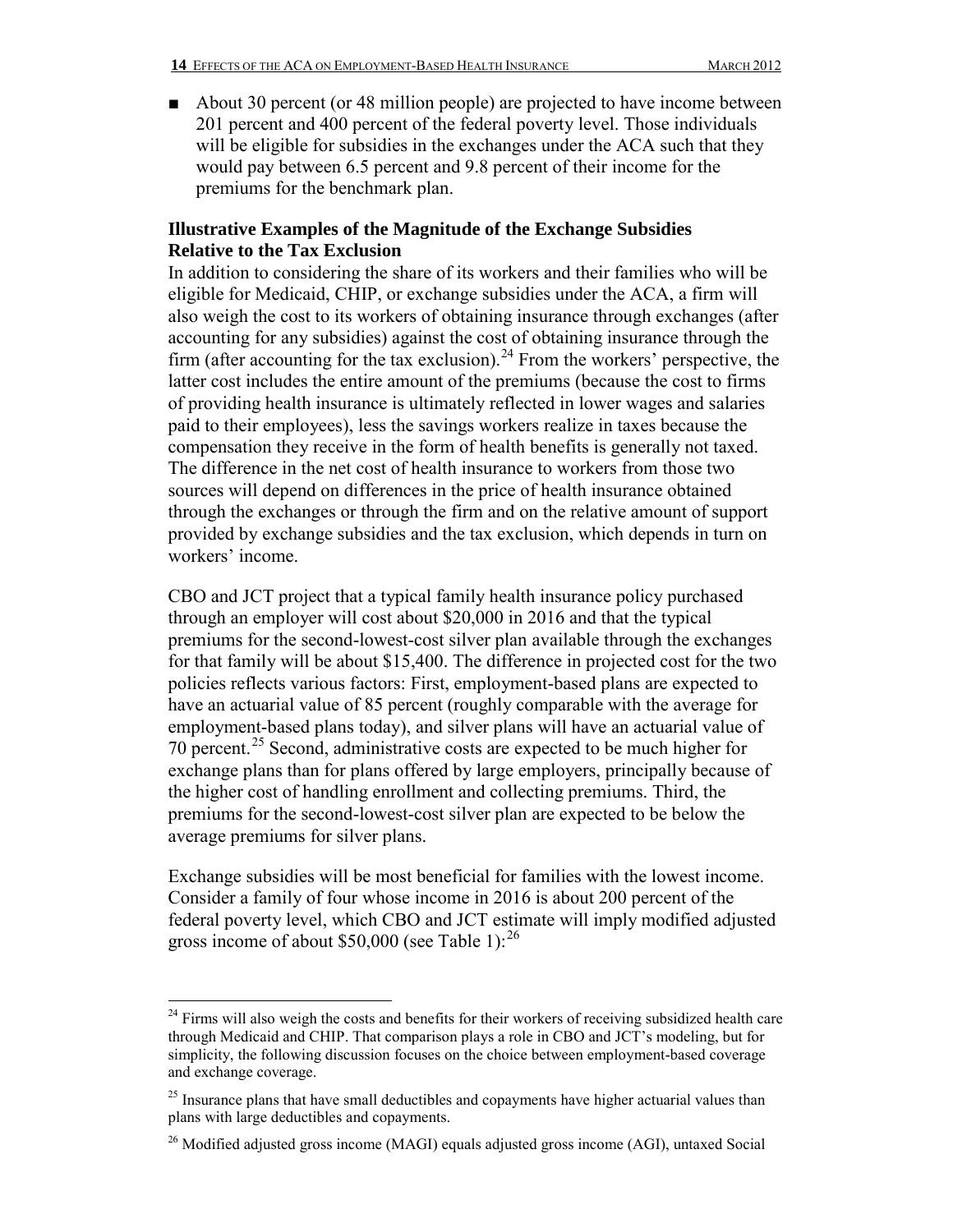■ About 30 percent (or 48 million people) are projected to have income between 201 percent and 400 percent of the federal poverty level. Those individuals will be eligible for subsidies in the exchanges under the ACA such that they would pay between 6.5 percent and 9.8 percent of their income for the premiums for the benchmark plan.

#### **Illustrative Examples of the Magnitude of the Exchange Subsidies Relative to the Tax Exclusion**

In addition to considering the share of its workers and their families who will be eligible for Medicaid, CHIP, or exchange subsidies under the ACA, a firm will also weigh the cost to its workers of obtaining insurance through exchanges (after accounting for any subsidies) against the cost of obtaining insurance through the firm (after accounting for the tax exclusion).<sup>[24](#page-13-0)</sup> From the workers' perspective, the latter cost includes the entire amount of the premiums (because the cost to firms of providing health insurance is ultimately reflected in lower wages and salaries paid to their employees), less the savings workers realize in taxes because the compensation they receive in the form of health benefits is generally not taxed. The difference in the net cost of health insurance to workers from those two sources will depend on differences in the price of health insurance obtained through the exchanges or through the firm and on the relative amount of support provided by exchange subsidies and the tax exclusion, which depends in turn on workers' income.

CBO and JCT project that a typical family health insurance policy purchased through an employer will cost about \$20,000 in 2016 and that the typical premiums for the second-lowest-cost silver plan available through the exchanges for that family will be about \$15,400. The difference in projected cost for the two policies reflects various factors: First, employment-based plans are expected to have an actuarial value of 85 percent (roughly comparable with the average for employment-based plans today), and silver plans will have an actuarial value of 70 percent.[25](#page-13-1) Second, administrative costs are expected to be much higher for exchange plans than for plans offered by large employers, principally because of the higher cost of handling enrollment and collecting premiums. Third, the premiums for the second-lowest-cost silver plan are expected to be below the average premiums for silver plans.

Exchange subsidies will be most beneficial for families with the lowest income. Consider a family of four whose income in 2016 is about 200 percent of the federal poverty level, which CBO and JCT estimate will imply modified adjusted gross income of about \$50,000 (see Table 1): $^{26}$  $^{26}$  $^{26}$ 

<span id="page-13-0"></span><sup>&</sup>lt;sup>24</sup> Firms will also weigh the costs and benefits for their workers of receiving subsidized health care through Medicaid and CHIP. That comparison plays a role in CBO and JCT's modeling, but for simplicity, the following discussion focuses on the choice between employment-based coverage and exchange coverage.

<span id="page-13-1"></span> $25$  Insurance plans that have small deductibles and copayments have higher actuarial values than plans with large deductibles and copayments.

<span id="page-13-2"></span><sup>&</sup>lt;sup>26</sup> Modified adjusted gross income (MAGI) equals adjusted gross income (AGI), untaxed Social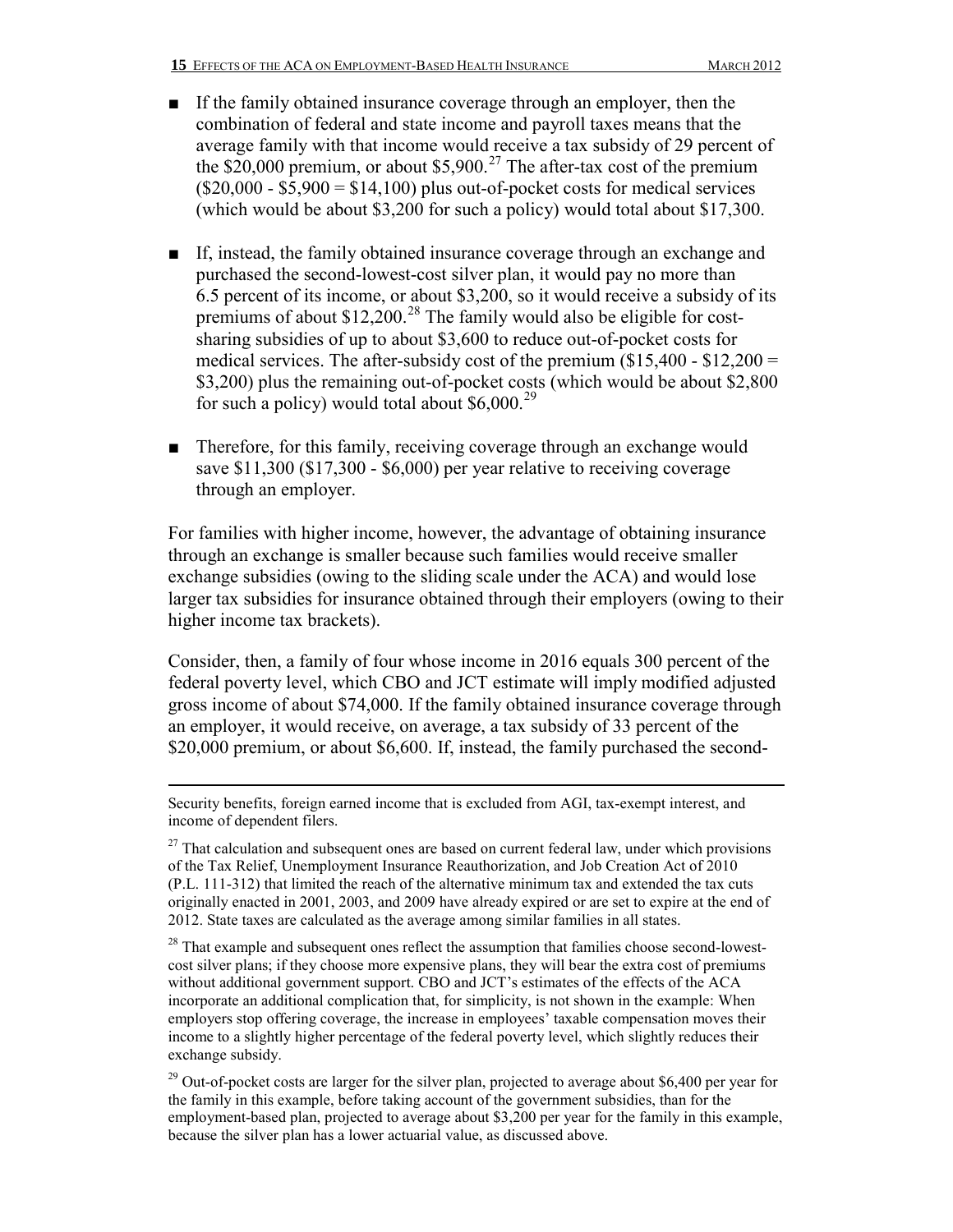- If the family obtained insurance coverage through an employer, then the combination of federal and state income and payroll taxes means that the average family with that income would receive a tax subsidy of 29 percent of the  $$20,000$  premium, or about  $$5,900.<sup>27</sup>$  $$5,900.<sup>27</sup>$  $$5,900.<sup>27</sup>$  The after-tax cost of the premium  $($20,000 - $5,900 = $14,100)$  plus out-of-pocket costs for medical services (which would be about \$3,200 for such a policy) would total about \$17,300.
- If, instead, the family obtained insurance coverage through an exchange and purchased the second-lowest-cost silver plan, it would pay no more than 6.5 percent of its income, or about \$3,200, so it would receive a subsidy of its premiums of about  $$12,200$ .<sup>[28](#page-14-1)</sup> The family would also be eligible for costsharing subsidies of up to about \$3,600 to reduce out-of-pocket costs for medical services. The after-subsidy cost of the premium  $(\$15,400 - \$12,200 =$ \$3,200) plus the remaining out-of-pocket costs (which would be about \$2,800 for such a policy) would total about  $$6,000.<sup>29</sup>$  $$6,000.<sup>29</sup>$  $$6,000.<sup>29</sup>$
- Therefore, for this family, receiving coverage through an exchange would save \$11,300 (\$17,300 - \$6,000) per year relative to receiving coverage through an employer.

For families with higher income, however, the advantage of obtaining insurance through an exchange is smaller because such families would receive smaller exchange subsidies (owing to the sliding scale under the ACA) and would lose larger tax subsidies for insurance obtained through their employers (owing to their higher income tax brackets).

Consider, then, a family of four whose income in 2016 equals 300 percent of the federal poverty level, which CBO and JCT estimate will imply modified adjusted gross income of about \$74,000. If the family obtained insurance coverage through an employer, it would receive, on average, a tax subsidy of 33 percent of the \$20,000 premium, or about \$6,600. If, instead, the family purchased the second-

Security benefits, foreign earned income that is excluded from AGI, tax-exempt interest, and income of dependent filers.

<span id="page-14-0"></span> $27$  That calculation and subsequent ones are based on current federal law, under which provisions of the Tax Relief, Unemployment Insurance Reauthorization, and Job Creation Act of 2010 (P.L. 111-312) that limited the reach of the alternative minimum tax and extended the tax cuts originally enacted in 2001, 2003, and 2009 have already expired or are set to expire at the end of 2012. State taxes are calculated as the average among similar families in all states.

<span id="page-14-1"></span> $28$  That example and subsequent ones reflect the assumption that families choose second-lowestcost silver plans; if they choose more expensive plans, they will bear the extra cost of premiums without additional government support. CBO and JCT's estimates of the effects of the ACA incorporate an additional complication that, for simplicity, is not shown in the example: When employers stop offering coverage, the increase in employees' taxable compensation moves their income to a slightly higher percentage of the federal poverty level, which slightly reduces their exchange subsidy.

<span id="page-14-2"></span> $29$  Out-of-pocket costs are larger for the silver plan, projected to average about \$6,400 per year for the family in this example, before taking account of the government subsidies, than for the employment-based plan, projected to average about \$3,200 per year for the family in this example, because the silver plan has a lower actuarial value, as discussed above.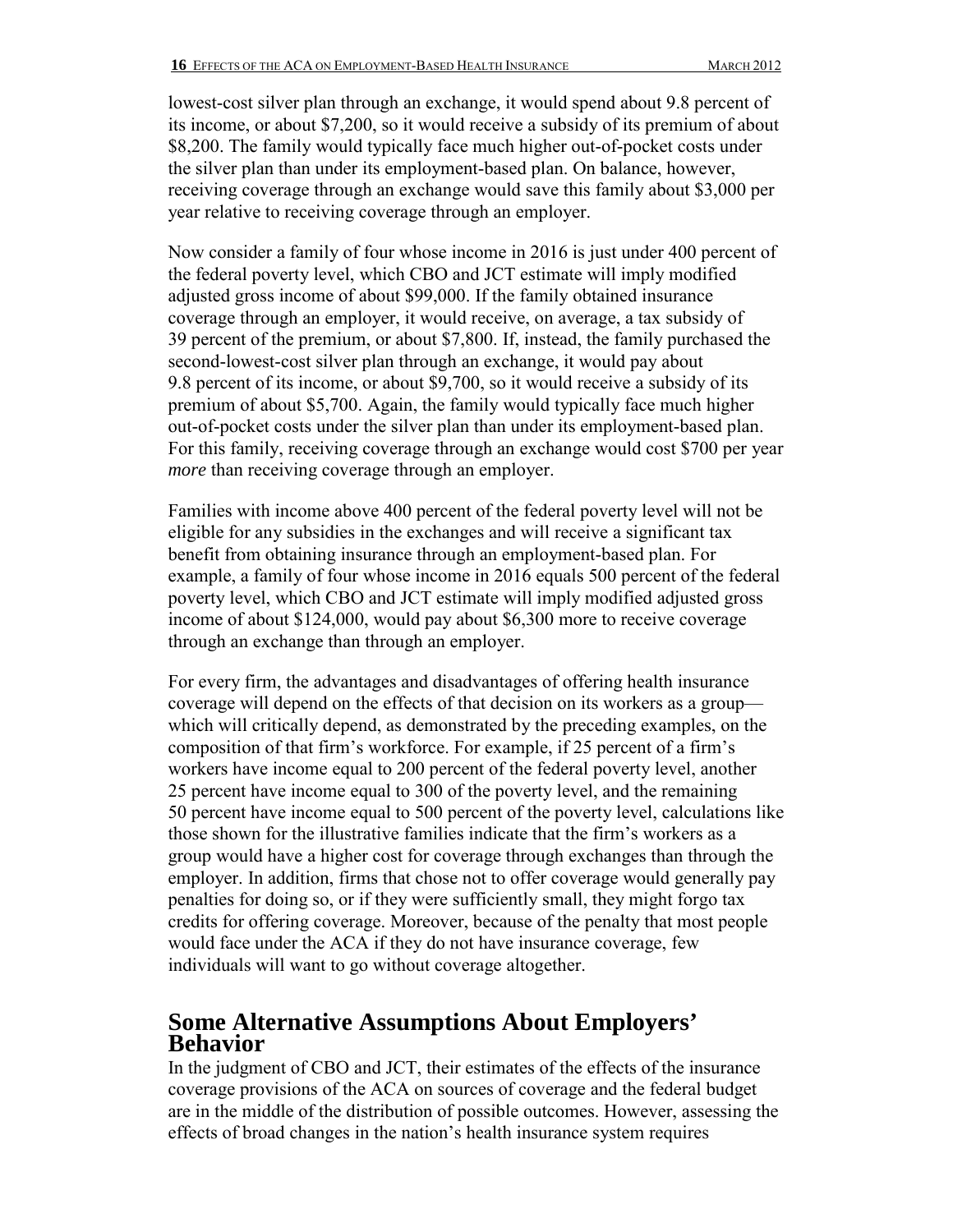lowest-cost silver plan through an exchange, it would spend about 9.8 percent of its income, or about \$7,200, so it would receive a subsidy of its premium of about \$8,200. The family would typically face much higher out-of-pocket costs under the silver plan than under its employment-based plan. On balance, however, receiving coverage through an exchange would save this family about \$3,000 per year relative to receiving coverage through an employer.

Now consider a family of four whose income in 2016 is just under 400 percent of the federal poverty level, which CBO and JCT estimate will imply modified adjusted gross income of about \$99,000. If the family obtained insurance coverage through an employer, it would receive, on average, a tax subsidy of 39 percent of the premium, or about \$7,800. If, instead, the family purchased the second-lowest-cost silver plan through an exchange, it would pay about 9.8 percent of its income, or about \$9,700, so it would receive a subsidy of its premium of about \$5,700. Again, the family would typically face much higher out-of-pocket costs under the silver plan than under its employment-based plan. For this family, receiving coverage through an exchange would cost \$700 per year *more* than receiving coverage through an employer.

Families with income above 400 percent of the federal poverty level will not be eligible for any subsidies in the exchanges and will receive a significant tax benefit from obtaining insurance through an employment-based plan. For example, a family of four whose income in 2016 equals 500 percent of the federal poverty level, which CBO and JCT estimate will imply modified adjusted gross income of about \$124,000, would pay about \$6,300 more to receive coverage through an exchange than through an employer.

For every firm, the advantages and disadvantages of offering health insurance coverage will depend on the effects of that decision on its workers as a group which will critically depend, as demonstrated by the preceding examples, on the composition of that firm's workforce. For example, if 25 percent of a firm's workers have income equal to 200 percent of the federal poverty level, another 25 percent have income equal to 300 of the poverty level, and the remaining 50 percent have income equal to 500 percent of the poverty level, calculations like those shown for the illustrative families indicate that the firm's workers as a group would have a higher cost for coverage through exchanges than through the employer. In addition, firms that chose not to offer coverage would generally pay penalties for doing so, or if they were sufficiently small, they might forgo tax credits for offering coverage. Moreover, because of the penalty that most people would face under the ACA if they do not have insurance coverage, few individuals will want to go without coverage altogether.

## **Some Alternative Assumptions About Employers' Behavior**

In the judgment of CBO and JCT, their estimates of the effects of the insurance coverage provisions of the ACA on sources of coverage and the federal budget are in the middle of the distribution of possible outcomes. However, assessing the effects of broad changes in the nation's health insurance system requires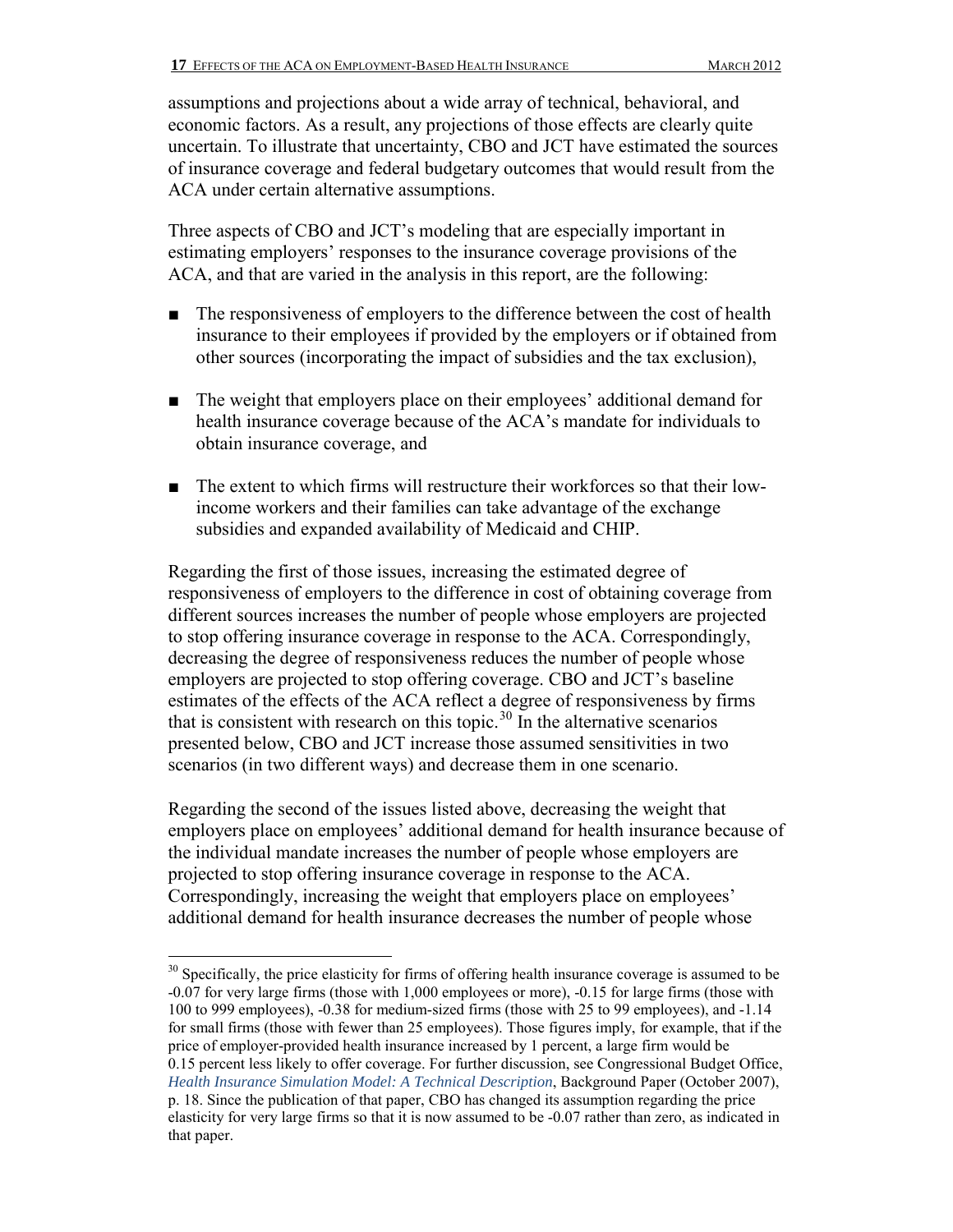assumptions and projections about a wide array of technical, behavioral, and economic factors. As a result, any projections of those effects are clearly quite uncertain. To illustrate that uncertainty, CBO and JCT have estimated the sources of insurance coverage and federal budgetary outcomes that would result from the ACA under certain alternative assumptions.

Three aspects of CBO and JCT's modeling that are especially important in estimating employers' responses to the insurance coverage provisions of the ACA, and that are varied in the analysis in this report, are the following:

- The responsiveness of employers to the difference between the cost of health insurance to their employees if provided by the employers or if obtained from other sources (incorporating the impact of subsidies and the tax exclusion),
- The weight that employers place on their employees' additional demand for health insurance coverage because of the ACA's mandate for individuals to obtain insurance coverage, and
- The extent to which firms will restructure their workforces so that their lowincome workers and their families can take advantage of the exchange subsidies and expanded availability of Medicaid and CHIP.

Regarding the first of those issues, increasing the estimated degree of responsiveness of employers to the difference in cost of obtaining coverage from different sources increases the number of people whose employers are projected to stop offering insurance coverage in response to the ACA. Correspondingly, decreasing the degree of responsiveness reduces the number of people whose employers are projected to stop offering coverage. CBO and JCT's baseline estimates of the effects of the ACA reflect a degree of responsiveness by firms that is consistent with research on this topic.<sup>[30](#page-16-0)</sup> In the alternative scenarios presented below, CBO and JCT increase those assumed sensitivities in two scenarios (in two different ways) and decrease them in one scenario.

Regarding the second of the issues listed above, decreasing the weight that employers place on employees' additional demand for health insurance because of the individual mandate increases the number of people whose employers are projected to stop offering insurance coverage in response to the ACA. Correspondingly, increasing the weight that employers place on employees' additional demand for health insurance decreases the number of people whose

<span id="page-16-0"></span> $\overline{a}$ <sup>30</sup> Specifically, the price elasticity for firms of offering health insurance coverage is assumed to be -0.07 for very large firms (those with 1,000 employees or more), -0.15 for large firms (those with 100 to 999 employees), -0.38 for medium-sized firms (those with 25 to 99 employees), and -1.14 for small firms (those with fewer than 25 employees). Those figures imply, for example, that if the price of employer-provided health insurance increased by 1 percent, a large firm would be 0.15 percent less likely to offer coverage. For further discussion, see Congressional Budget Office, *[Health Insurance Simulation Model: A Technical Description](http://www.cbo.gov/publication/19224)*, Background Paper (October 2007), p. 18. Since the publication of that paper, CBO has changed its assumption regarding the price elasticity for very large firms so that it is now assumed to be -0.07 rather than zero, as indicated in that paper.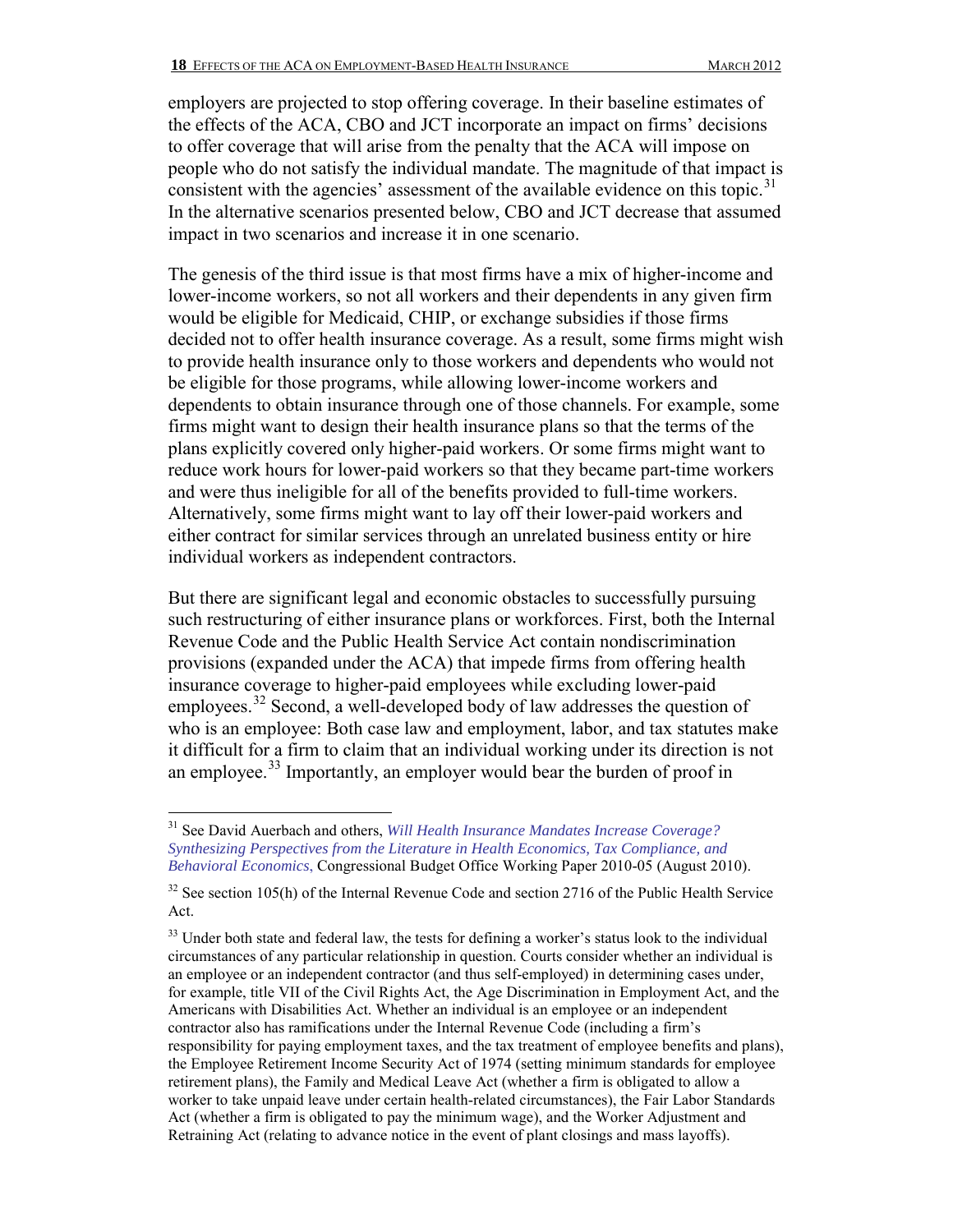employers are projected to stop offering coverage. In their baseline estimates of the effects of the ACA, CBO and JCT incorporate an impact on firms' decisions to offer coverage that will arise from the penalty that the ACA will impose on people who do not satisfy the individual mandate. The magnitude of that impact is consistent with the agencies' assessment of the available evidence on this topic.<sup>[31](#page-17-0)</sup> In the alternative scenarios presented below, CBO and JCT decrease that assumed impact in two scenarios and increase it in one scenario.

The genesis of the third issue is that most firms have a mix of higher-income and lower-income workers, so not all workers and their dependents in any given firm would be eligible for Medicaid, CHIP, or exchange subsidies if those firms decided not to offer health insurance coverage. As a result, some firms might wish to provide health insurance only to those workers and dependents who would not be eligible for those programs, while allowing lower-income workers and dependents to obtain insurance through one of those channels. For example, some firms might want to design their health insurance plans so that the terms of the plans explicitly covered only higher-paid workers. Or some firms might want to reduce work hours for lower-paid workers so that they became part-time workers and were thus ineligible for all of the benefits provided to full-time workers. Alternatively, some firms might want to lay off their lower-paid workers and either contract for similar services through an unrelated business entity or hire individual workers as independent contractors.

But there are significant legal and economic obstacles to successfully pursuing such restructuring of either insurance plans or workforces. First, both the Internal Revenue Code and the Public Health Service Act contain nondiscrimination provisions (expanded under the ACA) that impede firms from offering health insurance coverage to higher-paid employees while excluding lower-paid employees.<sup>[32](#page-17-1)</sup> Second, a well-developed body of law addresses the question of who is an employee: Both case law and employment, labor, and tax statutes make it difficult for a firm to claim that an individual working under its direction is not an employee.<sup>33</sup> Importantly, an employer would bear the burden of proof in

<span id="page-17-0"></span> $\overline{a}$ <sup>31</sup> See David Auerbach and others, *[Will Health Insurance Mandates Increase Coverage?](http://www.cbo.gov/sites/default/files/cbofiles/ftpdocs/116xx/doc11634/working_paper_2010-05-health_insurance_mandate.pdf)  [Synthesizing Perspectives from the Literature in Health Economics, Tax Compliance, and](http://www.cbo.gov/sites/default/files/cbofiles/ftpdocs/116xx/doc11634/working_paper_2010-05-health_insurance_mandate.pdf)  [Behavioral Economics](http://www.cbo.gov/sites/default/files/cbofiles/ftpdocs/116xx/doc11634/working_paper_2010-05-health_insurance_mandate.pdf)*, Congressional Budget Office Working Paper 2010-05 (August 2010).

<span id="page-17-1"></span> $32$  See section 105(h) of the Internal Revenue Code and section 2716 of the Public Health Service Act.

<span id="page-17-2"></span> $33$  Under both state and federal law, the tests for defining a worker's status look to the individual circumstances of any particular relationship in question. Courts consider whether an individual is an employee or an independent contractor (and thus self-employed) in determining cases under, for example, title VII of the Civil Rights Act, the Age Discrimination in Employment Act, and the Americans with Disabilities Act. Whether an individual is an employee or an independent contractor also has ramifications under the Internal Revenue Code (including a firm's responsibility for paying employment taxes, and the tax treatment of employee benefits and plans), the Employee Retirement Income Security Act of 1974 (setting minimum standards for employee retirement plans), the Family and Medical Leave Act (whether a firm is obligated to allow a worker to take unpaid leave under certain health-related circumstances), the Fair Labor Standards Act (whether a firm is obligated to pay the minimum wage), and the Worker Adjustment and Retraining Act (relating to advance notice in the event of plant closings and mass layoffs).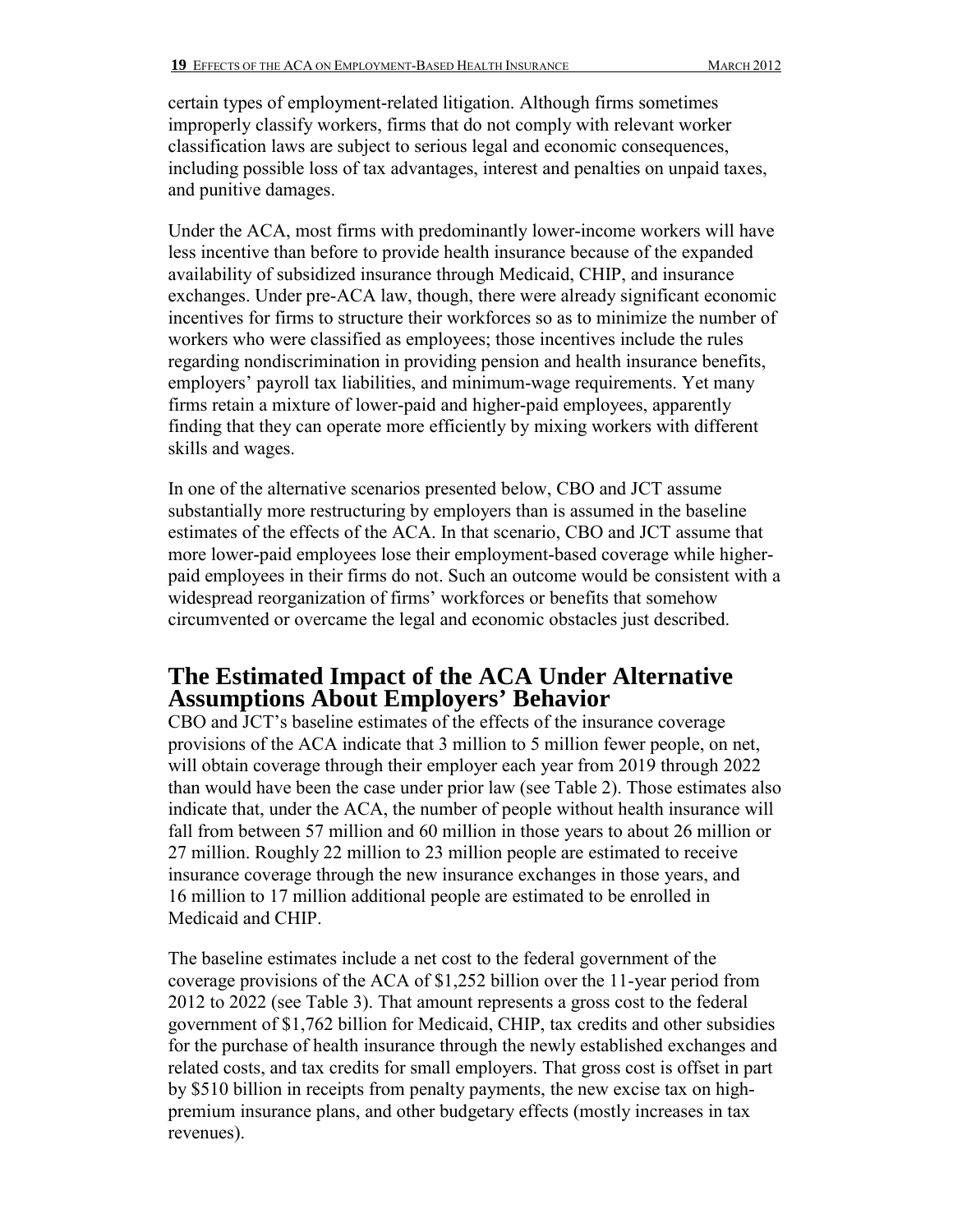certain types of employment-related litigation. Although firms sometimes improperly classify workers, firms that do not comply with relevant worker classification laws are subject to serious legal and economic consequences, including possible loss of tax advantages, interest and penalties on unpaid taxes, and punitive damages.

Under the ACA, most firms with predominantly lower-income workers will have less incentive than before to provide health insurance because of the expanded availability of subsidized insurance through Medicaid, CHIP, and insurance exchanges. Under pre-ACA law, though, there were already significant economic incentives for firms to structure their workforces so as to minimize the number of workers who were classified as employees; those incentives include the rules regarding nondiscrimination in providing pension and health insurance benefits, employers' payroll tax liabilities, and minimum-wage requirements. Yet many firms retain a mixture of lower-paid and higher-paid employees, apparently finding that they can operate more efficiently by mixing workers with different skills and wages.

In one of the alternative scenarios presented below, CBO and JCT assume substantially more restructuring by employers than is assumed in the baseline estimates of the effects of the ACA. In that scenario, CBO and JCT assume that more lower-paid employees lose their employment-based coverage while higherpaid employees in their firms do not. Such an outcome would be consistent with a widespread reorganization of firms' workforces or benefits that somehow circumvented or overcame the legal and economic obstacles just described.

### **The Estimated Impact of the ACA Under Alternative Assumptions About Employers' Behavior**

CBO and JCT's baseline estimates of the effects of the insurance coverage provisions of the ACA indicate that 3 million to 5 million fewer people, on net, will obtain coverage through their employer each year from 2019 through 2022 than would have been the case under prior law (see Table 2). Those estimates also indicate that, under the ACA, the number of people without health insurance will fall from between 57 million and 60 million in those years to about 26 million or 27 million. Roughly 22 million to 23 million people are estimated to receive insurance coverage through the new insurance exchanges in those years, and 16 million to 17 million additional people are estimated to be enrolled in Medicaid and CHIP.

The baseline estimates include a net cost to the federal government of the coverage provisions of the ACA of \$1,252 billion over the 11-year period from 2012 to 2022 (see Table 3). That amount represents a gross cost to the federal government of \$1,762 billion for Medicaid, CHIP, tax credits and other subsidies for the purchase of health insurance through the newly established exchanges and related costs, and tax credits for small employers. That gross cost is offset in part by \$510 billion in receipts from penalty payments, the new excise tax on highpremium insurance plans, and other budgetary effects (mostly increases in tax revenues).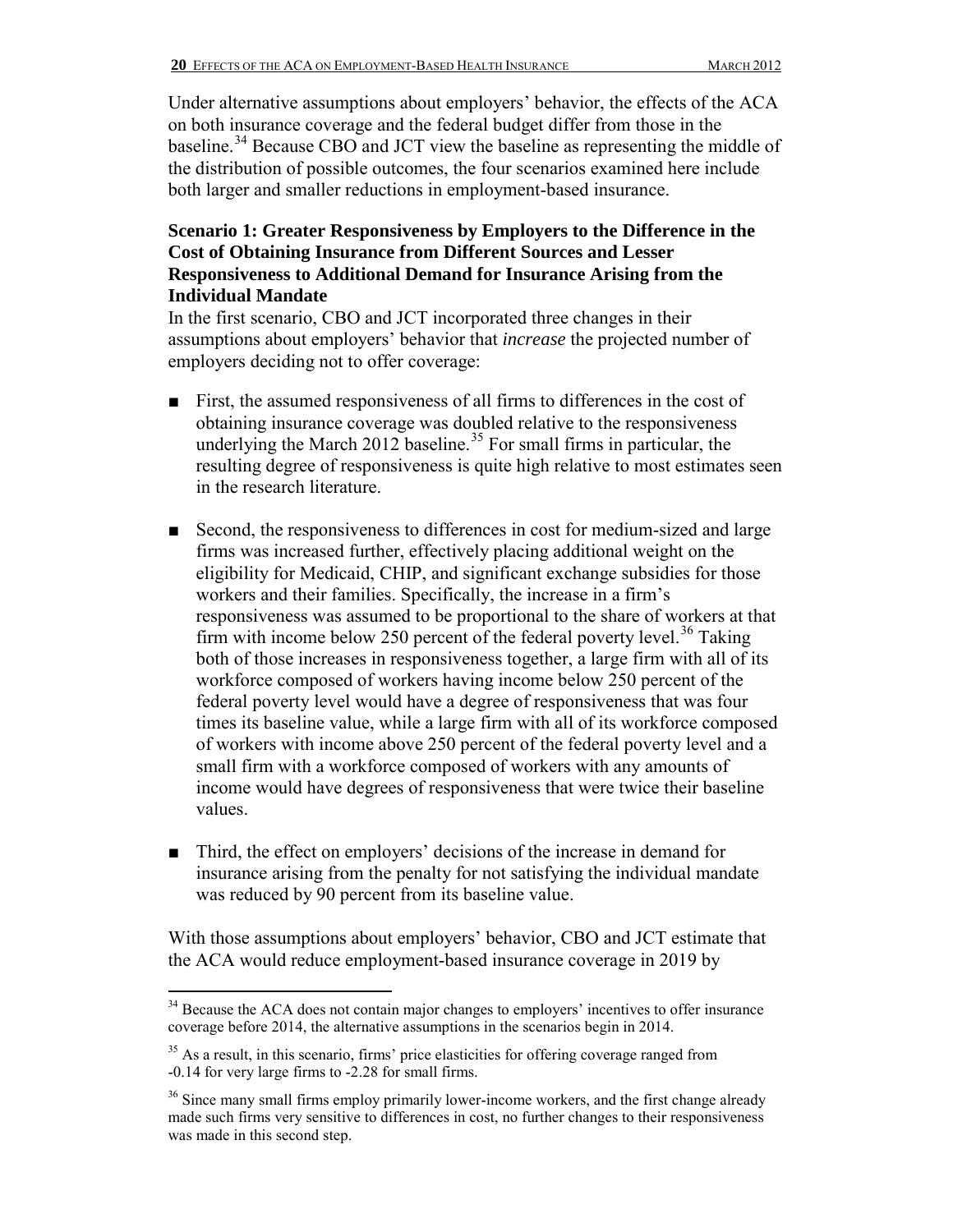Under alternative assumptions about employers' behavior, the effects of the ACA on both insurance coverage and the federal budget differ from those in the baseline.<sup>[34](#page-19-0)</sup> Because CBO and JCT view the baseline as representing the middle of the distribution of possible outcomes, the four scenarios examined here include both larger and smaller reductions in employment-based insurance.

#### **Scenario 1: Greater Responsiveness by Employers to the Difference in the Cost of Obtaining Insurance from Different Sources and Lesser Responsiveness to Additional Demand for Insurance Arising from the Individual Mandate**

In the first scenario, CBO and JCT incorporated three changes in their assumptions about employers' behavior that *increase* the projected number of employers deciding not to offer coverage:

- First, the assumed responsiveness of all firms to differences in the cost of obtaining insurance coverage was doubled relative to the responsiveness underlying the March 2012 baseline.<sup>[35](#page-19-1)</sup> For small firms in particular, the resulting degree of responsiveness is quite high relative to most estimates seen in the research literature.
- Second, the responsiveness to differences in cost for medium-sized and large firms was increased further, effectively placing additional weight on the eligibility for Medicaid, CHIP, and significant exchange subsidies for those workers and their families. Specifically, the increase in a firm's responsiveness was assumed to be proportional to the share of workers at that firm with income below 250 percent of the federal poverty level.<sup>36</sup> Taking both of those increases in responsiveness together, a large firm with all of its workforce composed of workers having income below 250 percent of the federal poverty level would have a degree of responsiveness that was four times its baseline value, while a large firm with all of its workforce composed of workers with income above 250 percent of the federal poverty level and a small firm with a workforce composed of workers with any amounts of income would have degrees of responsiveness that were twice their baseline values.
- Third, the effect on employers' decisions of the increase in demand for insurance arising from the penalty for not satisfying the individual mandate was reduced by 90 percent from its baseline value.

With those assumptions about employers' behavior, CBO and JCT estimate that the ACA would reduce employment-based insurance coverage in 2019 by

<span id="page-19-0"></span> $\overline{a}$  $34$  Because the ACA does not contain major changes to employers' incentives to offer insurance coverage before 2014, the alternative assumptions in the scenarios begin in 2014.

<span id="page-19-1"></span> $35$  As a result, in this scenario, firms' price elasticities for offering coverage ranged from -0.14 for very large firms to -2.28 for small firms.

<span id="page-19-2"></span> $36$  Since many small firms employ primarily lower-income workers, and the first change already made such firms very sensitive to differences in cost, no further changes to their responsiveness was made in this second step.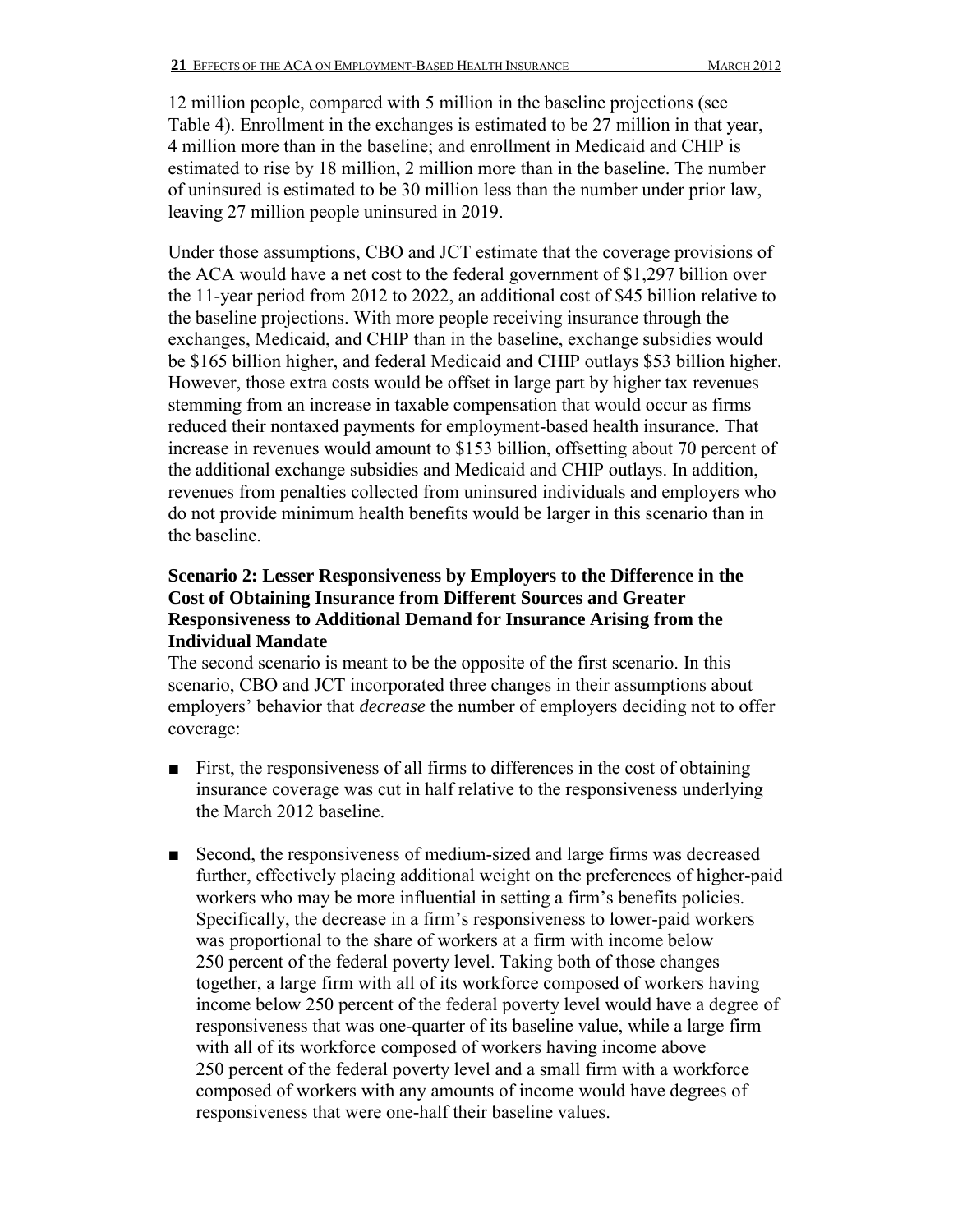12 million people, compared with 5 million in the baseline projections (see Table 4). Enrollment in the exchanges is estimated to be 27 million in that year, 4 million more than in the baseline; and enrollment in Medicaid and CHIP is estimated to rise by 18 million, 2 million more than in the baseline. The number of uninsured is estimated to be 30 million less than the number under prior law, leaving 27 million people uninsured in 2019.

Under those assumptions, CBO and JCT estimate that the coverage provisions of the ACA would have a net cost to the federal government of \$1,297 billion over the 11-year period from 2012 to 2022, an additional cost of \$45 billion relative to the baseline projections. With more people receiving insurance through the exchanges, Medicaid, and CHIP than in the baseline, exchange subsidies would be \$165 billion higher, and federal Medicaid and CHIP outlays \$53 billion higher. However, those extra costs would be offset in large part by higher tax revenues stemming from an increase in taxable compensation that would occur as firms reduced their nontaxed payments for employment-based health insurance. That increase in revenues would amount to \$153 billion, offsetting about 70 percent of the additional exchange subsidies and Medicaid and CHIP outlays. In addition, revenues from penalties collected from uninsured individuals and employers who do not provide minimum health benefits would be larger in this scenario than in the baseline.

### **Scenario 2: Lesser Responsiveness by Employers to the Difference in the Cost of Obtaining Insurance from Different Sources and Greater Responsiveness to Additional Demand for Insurance Arising from the Individual Mandate**

The second scenario is meant to be the opposite of the first scenario. In this scenario, CBO and JCT incorporated three changes in their assumptions about employers' behavior that *decrease* the number of employers deciding not to offer coverage:

- First, the responsiveness of all firms to differences in the cost of obtaining insurance coverage was cut in half relative to the responsiveness underlying the March 2012 baseline.
- Second, the responsiveness of medium-sized and large firms was decreased further, effectively placing additional weight on the preferences of higher-paid workers who may be more influential in setting a firm's benefits policies. Specifically, the decrease in a firm's responsiveness to lower-paid workers was proportional to the share of workers at a firm with income below 250 percent of the federal poverty level. Taking both of those changes together, a large firm with all of its workforce composed of workers having income below 250 percent of the federal poverty level would have a degree of responsiveness that was one-quarter of its baseline value, while a large firm with all of its workforce composed of workers having income above 250 percent of the federal poverty level and a small firm with a workforce composed of workers with any amounts of income would have degrees of responsiveness that were one-half their baseline values.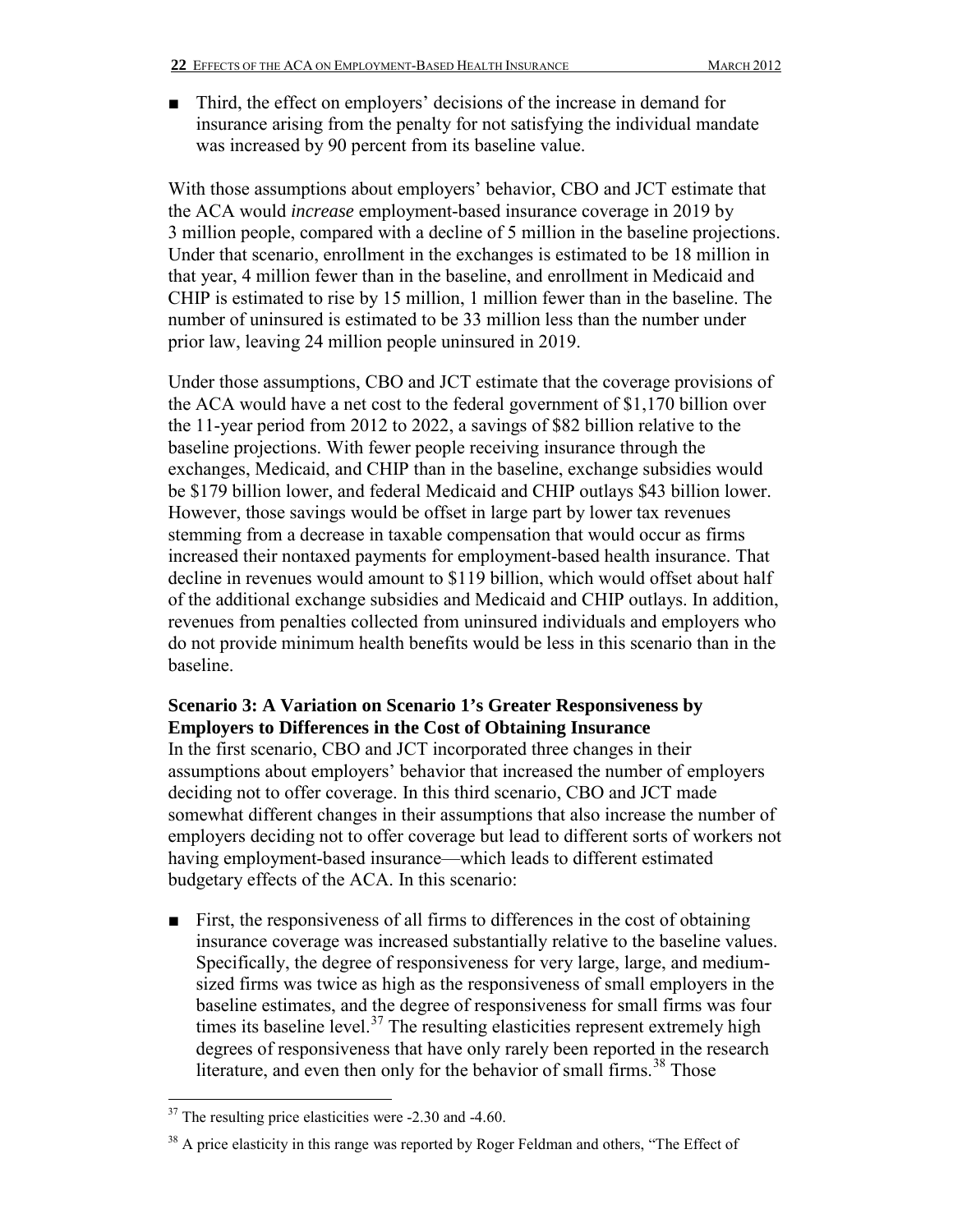■ Third, the effect on employers' decisions of the increase in demand for insurance arising from the penalty for not satisfying the individual mandate was increased by 90 percent from its baseline value.

With those assumptions about employers' behavior, CBO and JCT estimate that the ACA would *increase* employment-based insurance coverage in 2019 by 3 million people, compared with a decline of 5 million in the baseline projections. Under that scenario, enrollment in the exchanges is estimated to be 18 million in that year, 4 million fewer than in the baseline, and enrollment in Medicaid and CHIP is estimated to rise by 15 million, 1 million fewer than in the baseline. The number of uninsured is estimated to be 33 million less than the number under prior law, leaving 24 million people uninsured in 2019.

Under those assumptions, CBO and JCT estimate that the coverage provisions of the ACA would have a net cost to the federal government of \$1,170 billion over the 11-year period from 2012 to 2022, a savings of \$82 billion relative to the baseline projections. With fewer people receiving insurance through the exchanges, Medicaid, and CHIP than in the baseline, exchange subsidies would be \$179 billion lower, and federal Medicaid and CHIP outlays \$43 billion lower. However, those savings would be offset in large part by lower tax revenues stemming from a decrease in taxable compensation that would occur as firms increased their nontaxed payments for employment-based health insurance. That decline in revenues would amount to \$119 billion, which would offset about half of the additional exchange subsidies and Medicaid and CHIP outlays. In addition, revenues from penalties collected from uninsured individuals and employers who do not provide minimum health benefits would be less in this scenario than in the baseline.

### **Scenario 3: A Variation on Scenario 1's Greater Responsiveness by Employers to Differences in the Cost of Obtaining Insurance**

In the first scenario, CBO and JCT incorporated three changes in their assumptions about employers' behavior that increased the number of employers deciding not to offer coverage. In this third scenario, CBO and JCT made somewhat different changes in their assumptions that also increase the number of employers deciding not to offer coverage but lead to different sorts of workers not having employment-based insurance—which leads to different estimated budgetary effects of the ACA. In this scenario:

■ First, the responsiveness of all firms to differences in the cost of obtaining insurance coverage was increased substantially relative to the baseline values. Specifically, the degree of responsiveness for very large, large, and mediumsized firms was twice as high as the responsiveness of small employers in the baseline estimates, and the degree of responsiveness for small firms was four times its baseline level. $37$  The resulting elasticities represent extremely high degrees of responsiveness that have only rarely been reported in the research literature, and even then only for the behavior of small firms.<sup>38</sup> Those

<span id="page-21-0"></span> $\overline{a}$  $37$  The resulting price elasticities were -2.30 and -4.60.

<span id="page-21-1"></span> $38$  A price elasticity in this range was reported by Roger Feldman and others, "The Effect of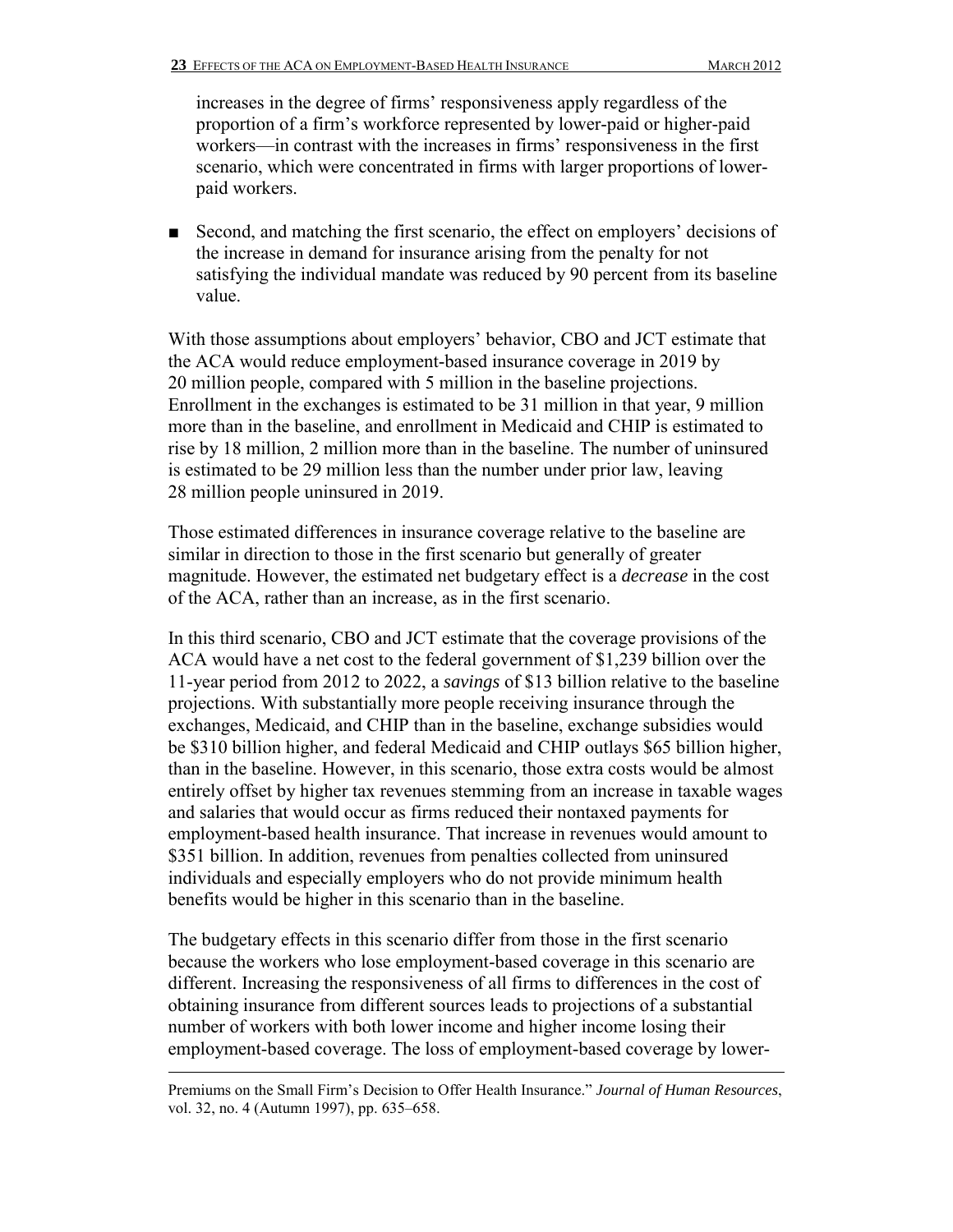increases in the degree of firms' responsiveness apply regardless of the proportion of a firm's workforce represented by lower-paid or higher-paid workers—in contrast with the increases in firms' responsiveness in the first scenario, which were concentrated in firms with larger proportions of lowerpaid workers.

■ Second, and matching the first scenario, the effect on employers' decisions of the increase in demand for insurance arising from the penalty for not satisfying the individual mandate was reduced by 90 percent from its baseline value.

With those assumptions about employers' behavior, CBO and JCT estimate that the ACA would reduce employment-based insurance coverage in 2019 by 20 million people, compared with 5 million in the baseline projections. Enrollment in the exchanges is estimated to be 31 million in that year, 9 million more than in the baseline, and enrollment in Medicaid and CHIP is estimated to rise by 18 million, 2 million more than in the baseline. The number of uninsured is estimated to be 29 million less than the number under prior law, leaving 28 million people uninsured in 2019.

Those estimated differences in insurance coverage relative to the baseline are similar in direction to those in the first scenario but generally of greater magnitude. However, the estimated net budgetary effect is a *decrease* in the cost of the ACA, rather than an increase, as in the first scenario.

In this third scenario, CBO and JCT estimate that the coverage provisions of the ACA would have a net cost to the federal government of \$1,239 billion over the 11-year period from 2012 to 2022, a *savings* of \$13 billion relative to the baseline projections. With substantially more people receiving insurance through the exchanges, Medicaid, and CHIP than in the baseline, exchange subsidies would be \$310 billion higher, and federal Medicaid and CHIP outlays \$65 billion higher, than in the baseline. However, in this scenario, those extra costs would be almost entirely offset by higher tax revenues stemming from an increase in taxable wages and salaries that would occur as firms reduced their nontaxed payments for employment-based health insurance. That increase in revenues would amount to \$351 billion. In addition, revenues from penalties collected from uninsured individuals and especially employers who do not provide minimum health benefits would be higher in this scenario than in the baseline.

The budgetary effects in this scenario differ from those in the first scenario because the workers who lose employment-based coverage in this scenario are different. Increasing the responsiveness of all firms to differences in the cost of obtaining insurance from different sources leads to projections of a substantial number of workers with both lower income and higher income losing their employment-based coverage. The loss of employment-based coverage by lower-

Premiums on the Small Firm's Decision to Offer Health Insurance." *Journal of Human Resources*, vol. 32, no. 4 (Autumn 1997), pp. 635–658.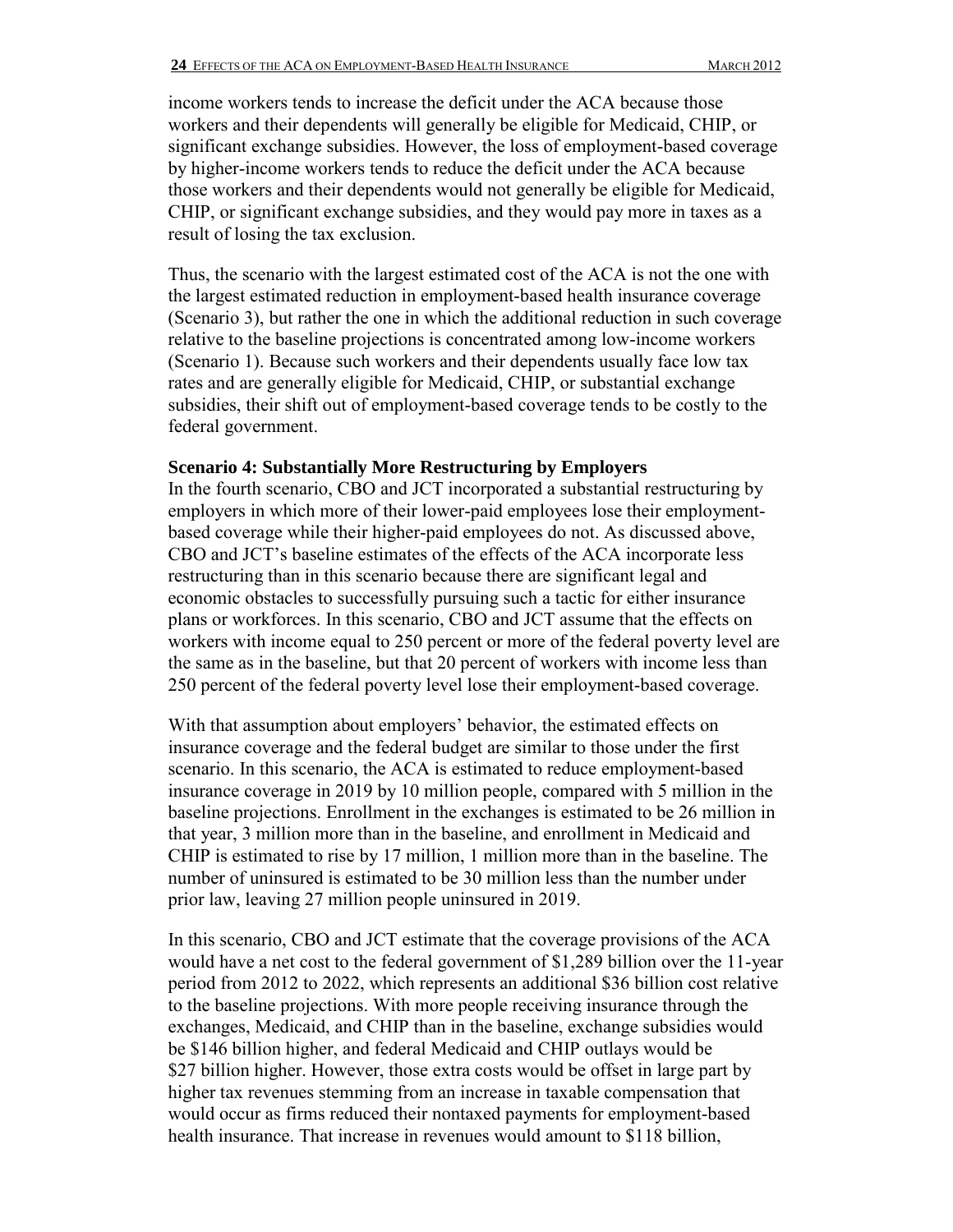income workers tends to increase the deficit under the ACA because those workers and their dependents will generally be eligible for Medicaid, CHIP, or significant exchange subsidies. However, the loss of employment-based coverage by higher-income workers tends to reduce the deficit under the ACA because those workers and their dependents would not generally be eligible for Medicaid, CHIP, or significant exchange subsidies, and they would pay more in taxes as a result of losing the tax exclusion.

Thus, the scenario with the largest estimated cost of the ACA is not the one with the largest estimated reduction in employment-based health insurance coverage (Scenario 3), but rather the one in which the additional reduction in such coverage relative to the baseline projections is concentrated among low-income workers (Scenario 1). Because such workers and their dependents usually face low tax rates and are generally eligible for Medicaid, CHIP, or substantial exchange subsidies, their shift out of employment-based coverage tends to be costly to the federal government.

#### **Scenario 4: Substantially More Restructuring by Employers**

In the fourth scenario, CBO and JCT incorporated a substantial restructuring by employers in which more of their lower-paid employees lose their employmentbased coverage while their higher-paid employees do not. As discussed above, CBO and JCT's baseline estimates of the effects of the ACA incorporate less restructuring than in this scenario because there are significant legal and economic obstacles to successfully pursuing such a tactic for either insurance plans or workforces. In this scenario, CBO and JCT assume that the effects on workers with income equal to 250 percent or more of the federal poverty level are the same as in the baseline, but that 20 percent of workers with income less than 250 percent of the federal poverty level lose their employment-based coverage.

With that assumption about employers' behavior, the estimated effects on insurance coverage and the federal budget are similar to those under the first scenario. In this scenario, the ACA is estimated to reduce employment-based insurance coverage in 2019 by 10 million people, compared with 5 million in the baseline projections. Enrollment in the exchanges is estimated to be 26 million in that year, 3 million more than in the baseline, and enrollment in Medicaid and CHIP is estimated to rise by 17 million, 1 million more than in the baseline. The number of uninsured is estimated to be 30 million less than the number under prior law, leaving 27 million people uninsured in 2019.

In this scenario, CBO and JCT estimate that the coverage provisions of the ACA would have a net cost to the federal government of \$1,289 billion over the 11-year period from 2012 to 2022, which represents an additional \$36 billion cost relative to the baseline projections. With more people receiving insurance through the exchanges, Medicaid, and CHIP than in the baseline, exchange subsidies would be \$146 billion higher, and federal Medicaid and CHIP outlays would be \$27 billion higher. However, those extra costs would be offset in large part by higher tax revenues stemming from an increase in taxable compensation that would occur as firms reduced their nontaxed payments for employment-based health insurance. That increase in revenues would amount to \$118 billion,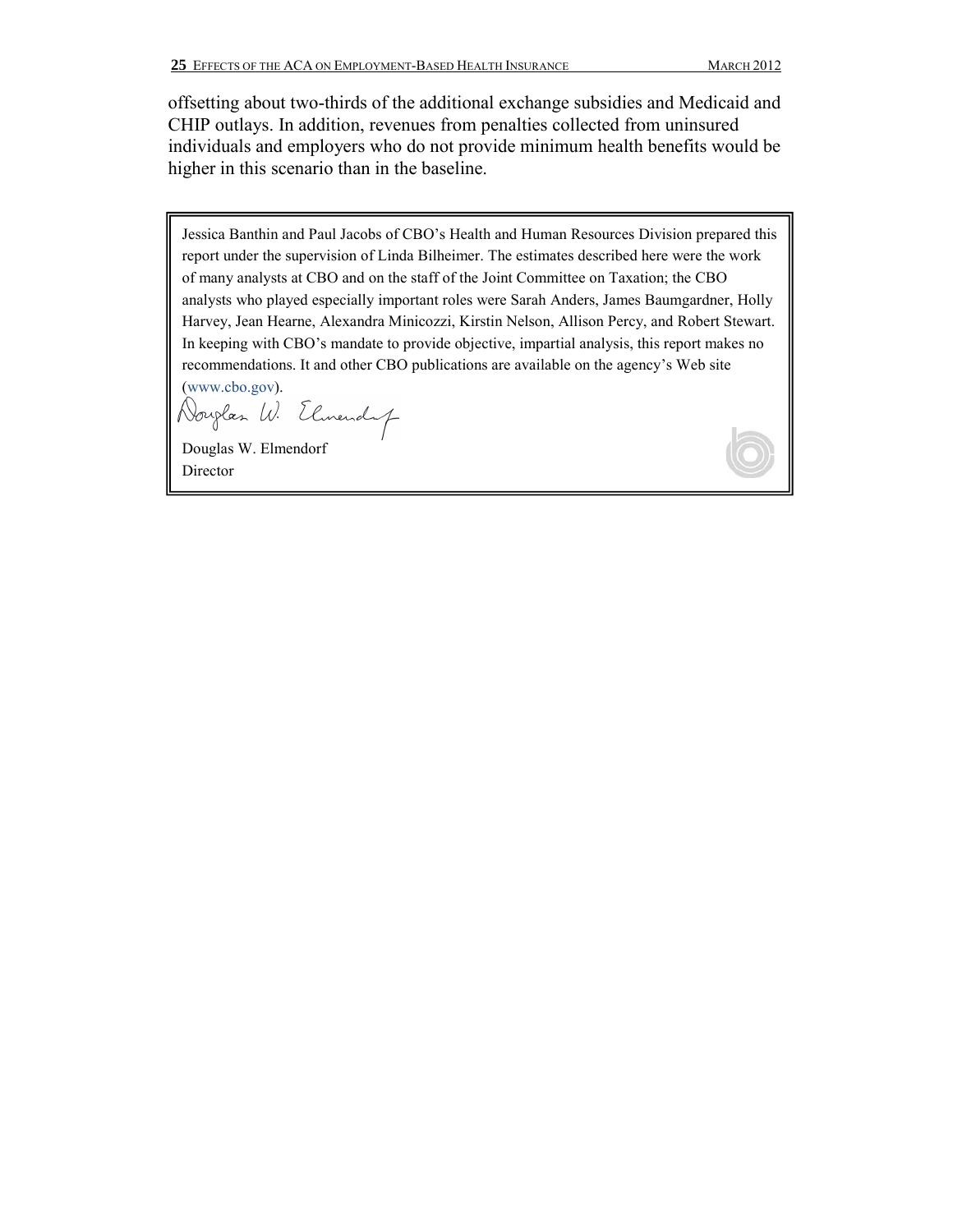offsetting about two-thirds of the additional exchange subsidies and Medicaid and CHIP outlays. In addition, revenues from penalties collected from uninsured individuals and employers who do not provide minimum health benefits would be higher in this scenario than in the baseline.

Jessica Banthin and Paul Jacobs of CBO's Health and Human Resources Division prepared this report under the supervision of Linda Bilheimer. The estimates described here were the work of many analysts at CBO and on the staff of the Joint Committee on Taxation; the CBO analysts who played especially important roles were Sarah Anders, James Baumgardner, Holly Harvey, Jean Hearne, Alexandra Minicozzi, Kirstin Nelson, Allison Percy, and Robert Stewart. In keeping with CBO's mandate to provide objective, impartial analysis, this report makes no recommendations. It and other CBO publications are available on the agency's Web site (www.cbo.gov).

Douglas W. Elmendaf

Douglas W. Elmendorf Director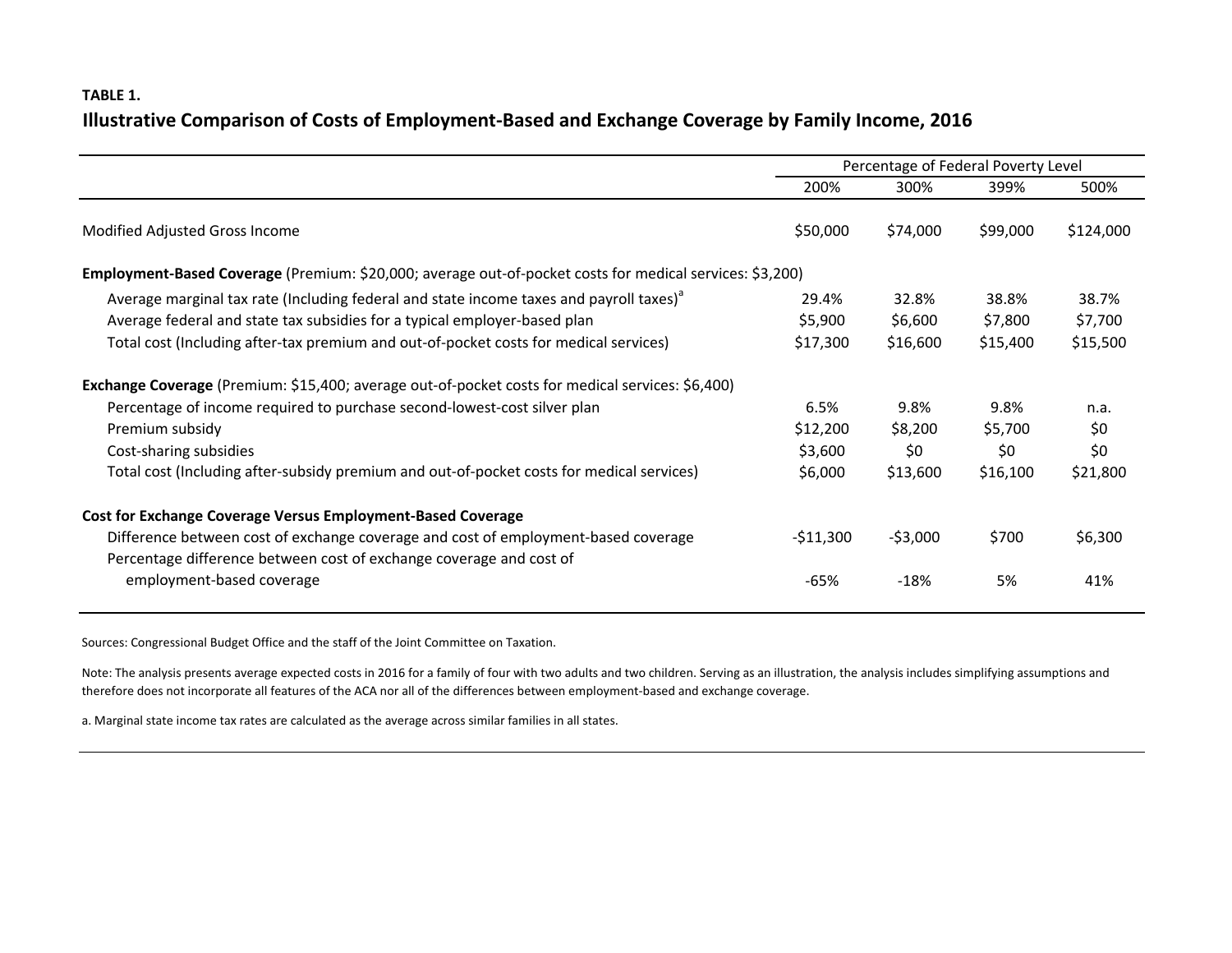### **TABLE 1. Illustrative Comparison of Costs of Employment-Based and Exchange Coverage by Family Income, 2016**

|                                                                                                          | Percentage of Federal Poverty Level |           |          |           |  |  |  |
|----------------------------------------------------------------------------------------------------------|-------------------------------------|-----------|----------|-----------|--|--|--|
|                                                                                                          | 200%                                | 300%      | 399%     | 500%      |  |  |  |
| Modified Adjusted Gross Income                                                                           | \$50,000                            | \$74,000  | \$99,000 | \$124,000 |  |  |  |
| Employment-Based Coverage (Premium: \$20,000; average out-of-pocket costs for medical services: \$3,200) |                                     |           |          |           |  |  |  |
| Average marginal tax rate (Including federal and state income taxes and payroll taxes) <sup>d</sup>      | 29.4%                               | 32.8%     | 38.8%    | 38.7%     |  |  |  |
| Average federal and state tax subsidies for a typical employer-based plan                                | \$5,900                             | \$6,600   | \$7,800  | \$7,700   |  |  |  |
| Total cost (Including after-tax premium and out-of-pocket costs for medical services)                    | \$17,300                            | \$16,600  | \$15,400 | \$15,500  |  |  |  |
| <b>Exchange Coverage</b> (Premium: \$15,400; average out-of-pocket costs for medical services: \$6,400)  |                                     |           |          |           |  |  |  |
| Percentage of income required to purchase second-lowest-cost silver plan                                 | 6.5%                                | 9.8%      | 9.8%     | n.a.      |  |  |  |
| Premium subsidy                                                                                          | \$12,200                            | \$8,200   | \$5,700  | \$0       |  |  |  |
| Cost-sharing subsidies                                                                                   | \$3,600                             | \$0       | \$0      | \$0       |  |  |  |
| Total cost (Including after-subsidy premium and out-of-pocket costs for medical services)                | \$6,000                             | \$13,600  | \$16,100 | \$21,800  |  |  |  |
| <b>Cost for Exchange Coverage Versus Employment-Based Coverage</b>                                       |                                     |           |          |           |  |  |  |
| Difference between cost of exchange coverage and cost of employment-based coverage                       | $-511,300$                          | $-53,000$ | \$700    | \$6,300   |  |  |  |
| Percentage difference between cost of exchange coverage and cost of                                      |                                     |           |          |           |  |  |  |
| employment-based coverage                                                                                | $-65%$                              | $-18%$    | 5%       | 41%       |  |  |  |

Sources: Congressional Budget Office and the staff of the Joint Committee on Taxation.

Note: The analysis presents average expected costs in 2016 for a family of four with two adults and two children. Serving as an illustration, the analysis includes simplifying assumptions and therefore does not incorporate all features of the ACA nor all of the differences between employment-based and exchange coverage.

a. Marginal state income tax rates are calculated as the average across similar families in all states.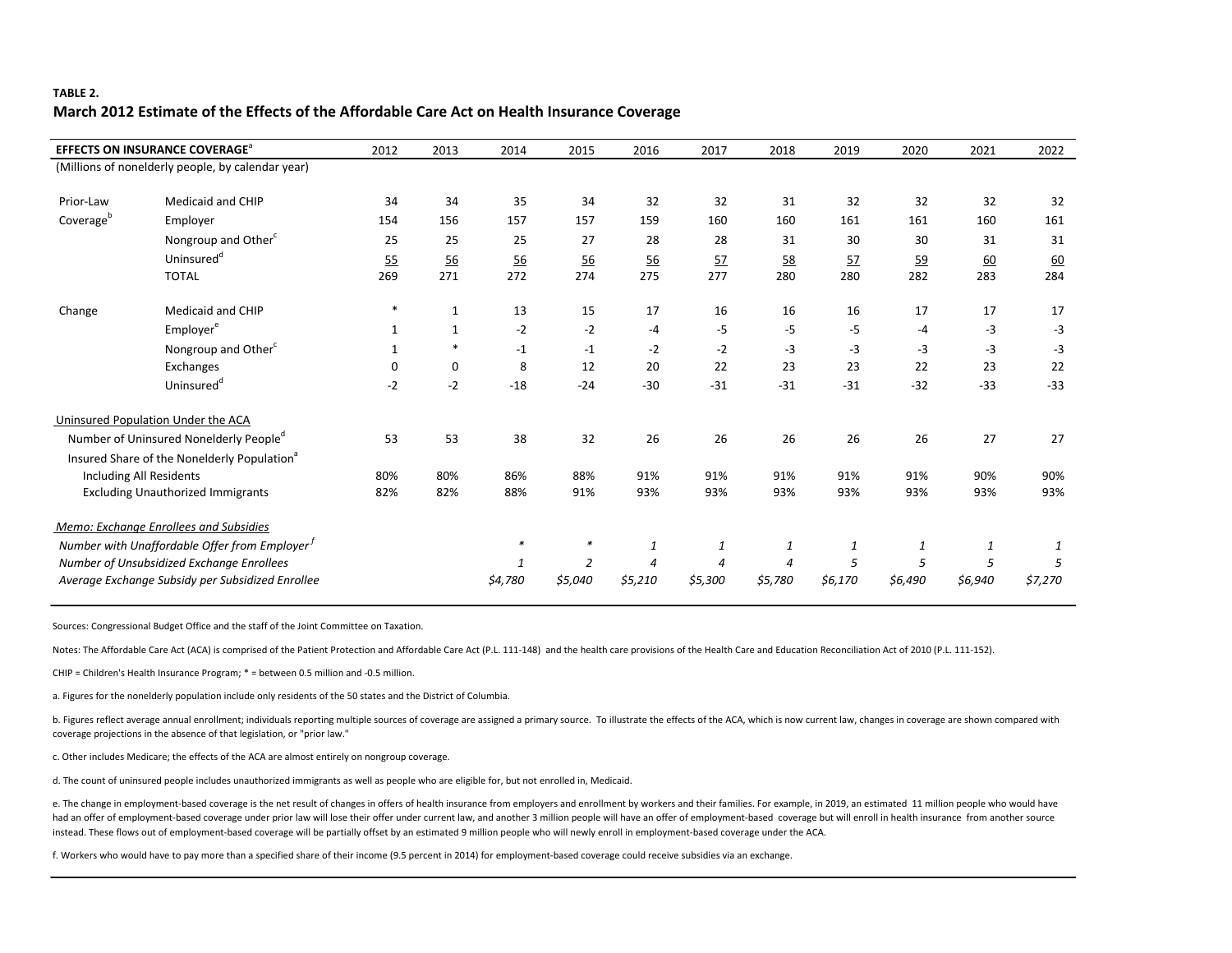## **TABLE 2. March 2012 Estimate of the Effects of the Affordable Care Act on Health Insurance Coverage**

|                       | <b>EFFECTS ON INSURANCE COVERAGE<sup>a</sup></b>        | 2012         | 2013        | 2014             | 2015           | 2016             | 2017             | 2018             | 2019    | 2020    | 2021             | 2022             |
|-----------------------|---------------------------------------------------------|--------------|-------------|------------------|----------------|------------------|------------------|------------------|---------|---------|------------------|------------------|
|                       | (Millions of nonelderly people, by calendar year)       |              |             |                  |                |                  |                  |                  |         |         |                  |                  |
| Prior-Law             | <b>Medicaid and CHIP</b>                                | 34           | 34          | 35               | 34             | 32               | 32               | 31               | 32      | 32      | 32               | 32               |
| Coverage <sup>b</sup> | Employer                                                | 154          | 156         | 157              | 157            | 159              | 160              | 160              | 161     | 161     | 160              | 161              |
|                       | Nongroup and Other <sup>c</sup>                         | 25           | 25          | 25               | 27             | 28               | 28               | 31               | 30      | 30      | 31               | 31               |
|                       | Uninsured <sup>d</sup>                                  | 55           | 56          | $\underline{56}$ | 56             | $\underline{56}$ | 57               | $\underline{58}$ | 57      | 59      | $\underline{60}$ | $\underline{60}$ |
|                       | <b>TOTAL</b>                                            | 269          | 271         | 272              | 274            | 275              | 277              | 280              | 280     | 282     | 283              | 284              |
| Change                | Medicaid and CHIP                                       |              | 1           | 13               | 15             | 17               | 16               | 16               | 16      | 17      | 17               | 17               |
|                       | Employer <sup>e</sup>                                   | 1            | $\mathbf 1$ | $-2$             | $-2$           | $-4$             | $-5$             | $-5$             | $-5$    | $-4$    | $-3$             | $-3$             |
|                       | Nongroup and Other <sup>c</sup>                         | $\mathbf{1}$ | $\ast$      | $-1$             | $-1$           | $-2$             | $-2$             | $-3$             | $-3$    | $-3$    | $-3$             | $-3$             |
|                       | Exchanges                                               | 0            | 0           | 8                | 12             | 20               | 22               | 23               | 23      | 22      | 23               | 22               |
|                       | Uninsured <sup>d</sup>                                  | $-2$         | $-2$        | $-18$            | $-24$          | $-30$            | $-31$            | $-31$            | $-31$   | $-32$   | $-33$            | $-33$            |
|                       | Uninsured Population Under the ACA                      |              |             |                  |                |                  |                  |                  |         |         |                  |                  |
|                       | Number of Uninsured Nonelderly People <sup>d</sup>      | 53           | 53          | 38               | 32             | 26               | 26               | 26               | 26      | 26      | 27               | 27               |
|                       | Insured Share of the Nonelderly Population <sup>a</sup> |              |             |                  |                |                  |                  |                  |         |         |                  |                  |
|                       | <b>Including All Residents</b>                          | 80%          | 80%         | 86%              | 88%            | 91%              | 91%              | 91%              | 91%     | 91%     | 90%              | 90%              |
|                       | <b>Excluding Unauthorized Immigrants</b>                | 82%          | 82%         | 88%              | 91%            | 93%              | 93%              | 93%              | 93%     | 93%     | 93%              | 93%              |
|                       | Memo: Exchange Enrollees and Subsidies                  |              |             |                  |                |                  |                  |                  |         |         |                  |                  |
|                       | Number with Unaffordable Offer from Employer $^I$       |              |             | $\ast$           |                | 1                | $\boldsymbol{1}$ | $\mathbf{1}$     | 1       | 1       | 1                |                  |
|                       | Number of Unsubsidized Exchange Enrollees               |              |             | 1                | $\overline{2}$ | 4                | $\boldsymbol{4}$ | $\boldsymbol{4}$ | 5       | 5       | 5                | 5                |
|                       | Average Exchange Subsidy per Subsidized Enrollee        |              |             | \$4,780          | \$5,040        | \$5,210          | \$5,300          | \$5,780          | \$6,170 | \$6,490 | \$6,940          | \$7,270          |

Sources: Congressional Budget Office and the staff of the Joint Committee on Taxation.

Notes: The Affordable Care Act (ACA) is comprised of the Patient Protection and Affordable Care Act (P.L. 111-148) and the health care provisions of the Health Care and Education Reconciliation Act of 2010 (P.L. 111-152).

CHIP = Children's Health Insurance Program; \* = between 0.5 million and -0.5 million.

a. Figures for the nonelderly population include only residents of the 50 states and the District of Columbia.

b. Figures reflect average annual enrollment; individuals reporting multiple sources of coverage are assigned a primary source. To illustrate the effects of the ACA, which is now current law, changes in coverage are shown coverage projections in the absence of that legislation, or "prior law."

c. Other includes Medicare; the effects of the ACA are almost entirely on nongroup coverage.

d. The count of uninsured people includes unauthorized immigrants as well as people who are eligible for, but not enrolled in, Medicaid.

e. The change in employment-based coverage is the net result of changes in offers of health insurance from employers and enrollment by workers and their families. For example, in 2019, an estimated 11 million people who wo had an offer of employment-based coverage under prior law will lose their offer under current law, and another 3 million people will have an offer of employment-based coverage but will enroll in health insurance from anoth instead. These flows out of employment-based coverage will be partially offset by an estimated 9 million people who will newly enroll in employment-based coverage under the ACA.

f. Workers who would have to pay more than a specified share of their income (9.5 percent in 2014) for employment-based coverage could receive subsidies via an exchange.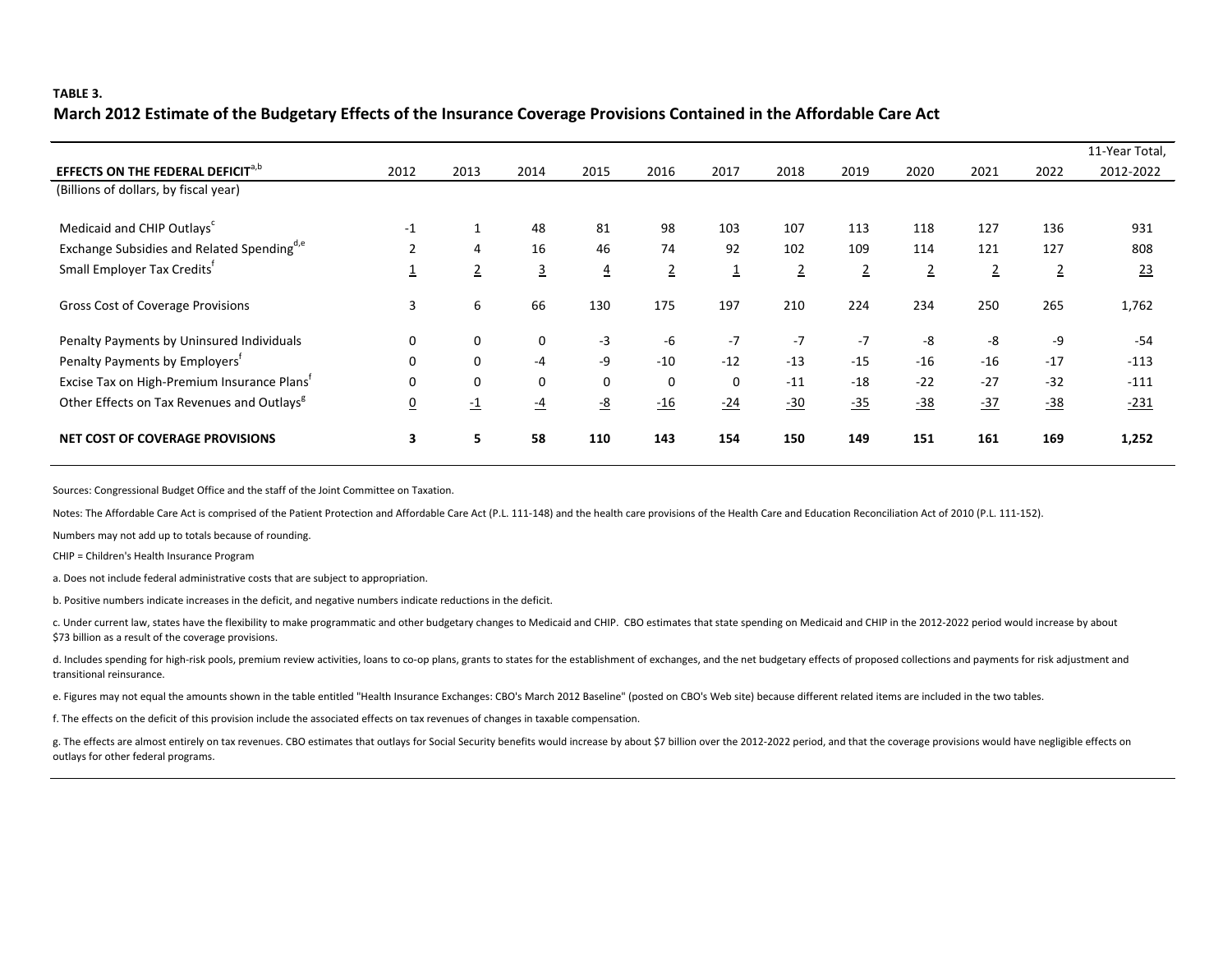#### **TABLE 3.**

### **March 2012 Estimate of the Budgetary Effects of the Insurance Coverage Provisions Contained in the Affordable Care Act**

|                                                         |          |                 |                |                  |                |                         |                |                |                |                |                | 11-Year Total, |
|---------------------------------------------------------|----------|-----------------|----------------|------------------|----------------|-------------------------|----------------|----------------|----------------|----------------|----------------|----------------|
| <b>EFFECTS ON THE FEDERAL DEFICIT<sup>a,b</sup></b>     | 2012     | 2013            | 2014           | 2015             | 2016           | 2017                    | 2018           | 2019           | 2020           | 2021           | 2022           | 2012-2022      |
| (Billions of dollars, by fiscal year)                   |          |                 |                |                  |                |                         |                |                |                |                |                |                |
| Medicaid and CHIP Outlays <sup>c</sup>                  | $-1$     | $\mathbf{1}$    | 48             | 81               | 98             | 103                     | 107            | 113            | 118            | 127            | 136            | 931            |
| Exchange Subsidies and Related Spending <sup>d,e</sup>  | 2        | 4               | 16             | 46               | 74             | 92                      | 102            | 109            | 114            | 121            | 127            | 808            |
| Small Employer Tax Credits <sup>t</sup>                 |          | $\overline{2}$  | $\overline{3}$ | $\overline{4}$   | $\overline{2}$ | $\overline{\mathbf{1}}$ | $\overline{2}$ | $\overline{2}$ | $\overline{2}$ | $\overline{2}$ | $\overline{2}$ | 23             |
| <b>Gross Cost of Coverage Provisions</b>                | 3        | 6               | 66             | 130              | 175            | 197                     | 210            | 224            | 234            | 250            | 265            | 1,762          |
| Penalty Payments by Uninsured Individuals               | 0        | 0               | 0              | $-3$             | -6             | $-7$                    | $-7$           | $-7$           | -8             | -8             | -9             | -54            |
| Penalty Payments by Employers'                          | 0        | $\mathbf 0$     | $-4$           | -9               | $-10$          | $-12$                   | $-13$          | $-15$          | $-16$          | $-16$          | $-17$          | $-113$         |
| Excise Tax on High-Premium Insurance Plans <sup>t</sup> | 0        | $\mathbf 0$     | $\mathbf 0$    | $\Omega$         | $\Omega$       | $\mathbf{0}$            | $-11$          | $-18$          | $-22$          | $-27$          | $-32$          | $-111$         |
| Other Effects on Tax Revenues and Outlays <sup>8</sup>  | <u>0</u> | $\overline{-1}$ | $\frac{-4}{1}$ | $-\underline{8}$ | $-16$          | $-24$                   | $-30$          | $-35$          | $-38$          | $-37$          | $-38$          | $-231$         |
| <b>NET COST OF COVERAGE PROVISIONS</b>                  | 3        | 5               | 58             | 110              | 143            | 154                     | 150            | 149            | 151            | 161            | 169            | 1,252          |

Sources: Congressional Budget Office and the staff of the Joint Committee on Taxation.

Notes: The Affordable Care Act is comprised of the Patient Protection and Affordable Care Act (P.L. 111-148) and the health care provisions of the Health Care and Education Reconciliation Act of 2010 (P.L. 111-152).

Numbers may not add up to totals because of rounding.

CHIP = Children's Health Insurance Program

a. Does not include federal administrative costs that are subject to appropriation.

b. Positive numbers indicate increases in the deficit, and negative numbers indicate reductions in the deficit.

c. Under current law, states have the flexibility to make programmatic and other budgetary changes to Medicaid and CHIP. CBO estimates that state spending on Medicaid and CHIP in the 2012-2022 period would increase by abou \$73 billion as a result of the coverage provisions.

d. Includes spending for high-risk pools, premium review activities, loans to co-op plans, grants to states for the establishment of exchanges, and the net budgetary effects of proposed collections and payments for risk ad transitional reinsurance.

e. Figures may not equal the amounts shown in the table entitled "Health Insurance Exchanges: CBO's March 2012 Baseline" (posted on CBO's Web site) because different related items are included in the two tables.

f. The effects on the deficit of this provision include the associated effects on tax revenues of changes in taxable compensation.

g. The effects are almost entirely on tax revenues. CBO estimates that outlays for Social Security benefits would increase by about \$7 billion over the 2012-2022 period, and that the coverage provisions would have negligib outlays for other federal programs.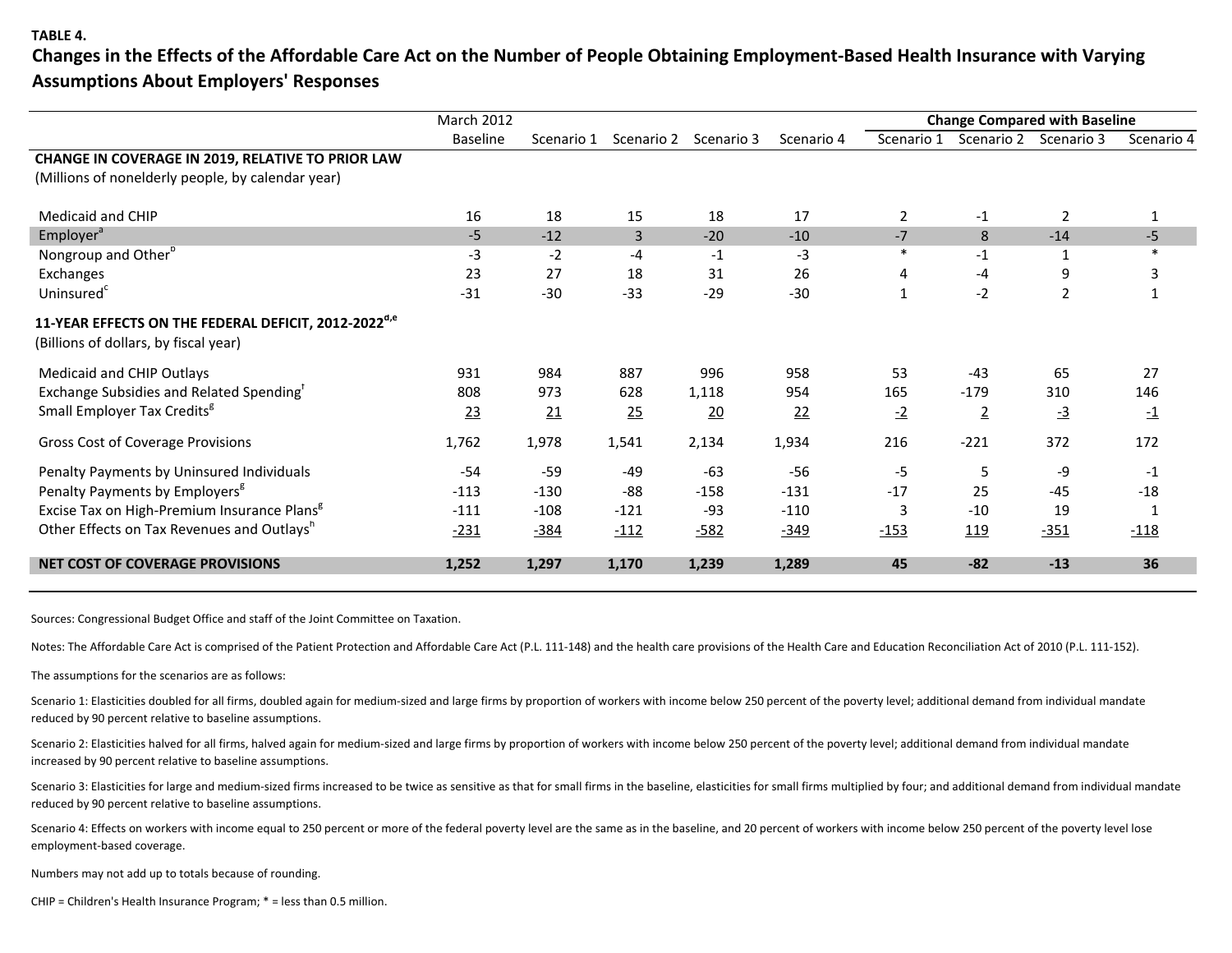#### **TABLE 4.**

**Changes in the Effects of the Affordable Care Act on the Number of People Obtaining Employment-Based Health Insurance with Varying Assumptions About Employers' Responses** 

| <b>Baseline</b> | Scenario 1 | Scenario 2     | Scenario 3     | Scenario 4 | Scenario 1     | Scenario 2     | Scenario 3      | Scenario 4    |
|-----------------|------------|----------------|----------------|------------|----------------|----------------|-----------------|---------------|
|                 |            |                |                |            |                |                |                 |               |
|                 |            |                |                |            |                |                |                 |               |
|                 |            |                |                |            |                |                |                 |               |
| 16              | 18         | 15             | 18             | 17         | $\overline{2}$ | $-1$           | 2               | 1             |
| $-5$            | $-12$      | $\overline{3}$ | $-20$          | $-10$      | $-7$           | 8              | $-14$           | $-5$          |
| $-3$            | $-2$       | $-4$           | $-1$           | -3         | $\ast$         | $-1$           |                 |               |
| 23              | 27         | 18             | 31             | 26         |                | $-4$           | 9               | 3             |
| $-31$           | $-30$      | $-33$          | $-29$          | $-30$      |                | $-2$           | $\overline{2}$  |               |
|                 |            |                |                |            |                |                |                 |               |
| 931             | 984        | 887            | 996            | 958        | 53             | $-43$          | 65              | 27            |
| 808             | 973        | 628            | 1,118          | 954        | 165            | $-179$         | 310             | 146           |
| 23              | 21         | 25             | $\frac{20}{2}$ | 22         | $-2$           | $\overline{2}$ | $\overline{-3}$ | $\mathbf{-1}$ |
| 1,762           | 1,978      | 1,541          | 2,134          | 1,934      | 216            | $-221$         | 372             | 172           |
| $-54$           | $-59$      | $-49$          | $-63$          | $-56$      | $-5$           | 5              | -9              | $-1$          |
| $-113$          | $-130$     | $-88$          | $-158$         | $-131$     | $-17$          | 25             | $-45$           | $-18$         |
| $-111$          | $-108$     | $-121$         | $-93$          | $-110$     | 3              | $-10$          | 19              |               |
| $-231$          | $-384$     | $-112$         | $-582$         | $-349$     | $-153$         | 119            | $-351$          | $-118$        |
| 1,252           | 1,297      | 1,170          | 1,239          | 1,289      | 45             | $-82$          | $-13$           | 36            |
|                 |            |                |                |            |                |                |                 |               |

Sources: Congressional Budget Office and staff of the Joint Committee on Taxation.

Notes: The Affordable Care Act is comprised of the Patient Protection and Affordable Care Act (P.L. 111-148) and the health care provisions of the Health Care and Education Reconciliation Act of 2010 (P.L. 111-152).

The assumptions for the scenarios are as follows:

Scenario 1: Elasticities doubled for all firms, doubled again for medium-sized and large firms by proportion of workers with income below 250 percent of the poverty level; additional demand from individual mandate reduced by 90 percent relative to baseline assumptions.

Scenario 2: Elasticities halved for all firms, halved again for medium-sized and large firms by proportion of workers with income below 250 percent of the poverty level; additional demand from individual mandate increased by 90 percent relative to baseline assumptions.

Scenario 3: Elasticities for large and medium-sized firms increased to be twice as sensitive as that for small firms in the baseline, elasticities for small firms multiplied by four; and additional demand from individual m reduced by 90 percent relative to baseline assumptions.

Scenario 4: Effects on workers with income equal to 250 percent or more of the federal poverty level are the same as in the baseline, and 20 percent of workers with income below 250 percent of the poverty level lose employment-based coverage.

Numbers may not add up to totals because of rounding.

CHIP = Children's Health Insurance Program; \* = less than 0.5 million.